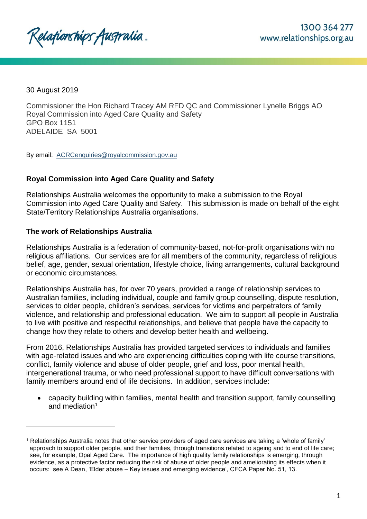Relafionships Australia.

30 August 2019

l

Commissioner the Hon Richard Tracey AM RFD QC and Commissioner Lynelle Briggs AO Royal Commission into Aged Care Quality and Safety GPO Box 1151 ADELAIDE SA 5001

By email: [ACRCenquiries@royalcommission.gov.au](mailto:ACRCenquiries@royalcommission.gov.au)

# **Royal Commission into Aged Care Quality and Safety**

Relationships Australia welcomes the opportunity to make a submission to the Royal Commission into Aged Care Quality and Safety. This submission is made on behalf of the eight State/Territory Relationships Australia organisations.

## **The work of Relationships Australia**

Relationships Australia is a federation of community-based, not-for-profit organisations with no religious affiliations. Our services are for all members of the community, regardless of religious belief, age, gender, sexual orientation, lifestyle choice, living arrangements, cultural background or economic circumstances.

Relationships Australia has, for over 70 years, provided a range of relationship services to Australian families, including individual, couple and family group counselling, dispute resolution, services to older people, children's services, services for victims and perpetrators of family violence, and relationship and professional education. We aim to support all people in Australia to live with positive and respectful relationships, and believe that people have the capacity to change how they relate to others and develop better health and wellbeing.

From 2016, Relationships Australia has provided targeted services to individuals and families with age-related issues and who are experiencing difficulties coping with life course transitions, conflict, family violence and abuse of older people, grief and loss, poor mental health, intergenerational trauma, or who need professional support to have difficult conversations with family members around end of life decisions. In addition, services include:

 capacity building within families, mental health and transition support, family counselling and mediation<sup>1</sup>

<sup>1</sup> Relationships Australia notes that other service providers of aged care services are taking a 'whole of family' approach to support older people, and their families, through transitions related to ageing and to end of life care; see, for example, Opal Aged Care. The importance of high quality family relationships is emerging, through evidence, as a protective factor reducing the risk of abuse of older people and ameliorating its effects when it occurs: see A Dean, 'Elder abuse – Key issues and emerging evidence', CFCA Paper No. 51, 13.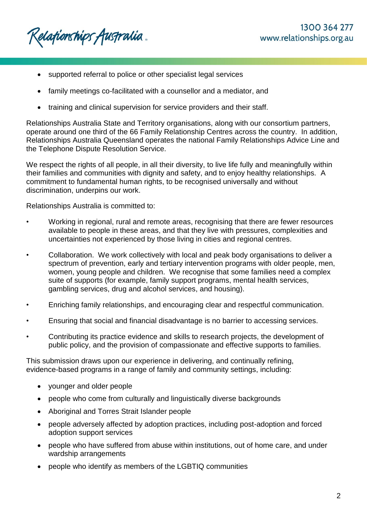Relafionships Australia.

- supported referral to police or other specialist legal services
- family meetings co-facilitated with a counsellor and a mediator, and
- training and clinical supervision for service providers and their staff.

Relationships Australia State and Territory organisations, along with our consortium partners, operate around one third of the 66 Family Relationship Centres across the country. In addition, Relationships Australia Queensland operates the national Family Relationships Advice Line and the Telephone Dispute Resolution Service.

We respect the rights of all people, in all their diversity, to live life fully and meaningfully within their families and communities with dignity and safety, and to enjoy healthy relationships. A commitment to fundamental human rights, to be recognised universally and without discrimination, underpins our work.

Relationships Australia is committed to:

- Working in regional, rural and remote areas, recognising that there are fewer resources available to people in these areas, and that they live with pressures, complexities and uncertainties not experienced by those living in cities and regional centres.
- Collaboration. We work collectively with local and peak body organisations to deliver a spectrum of prevention, early and tertiary intervention programs with older people, men, women, young people and children. We recognise that some families need a complex suite of supports (for example, family support programs, mental health services, gambling services, drug and alcohol services, and housing).
- Enriching family relationships, and encouraging clear and respectful communication.
- Ensuring that social and financial disadvantage is no barrier to accessing services.
- Contributing its practice evidence and skills to research projects, the development of public policy, and the provision of compassionate and effective supports to families.

This submission draws upon our experience in delivering, and continually refining, evidence-based programs in a range of family and community settings, including:

- younger and older people
- people who come from culturally and linguistically diverse backgrounds
- Aboriginal and Torres Strait Islander people
- people adversely affected by adoption practices, including post-adoption and forced adoption support services
- people who have suffered from abuse within institutions, out of home care, and under wardship arrangements
- people who identify as members of the LGBTIQ communities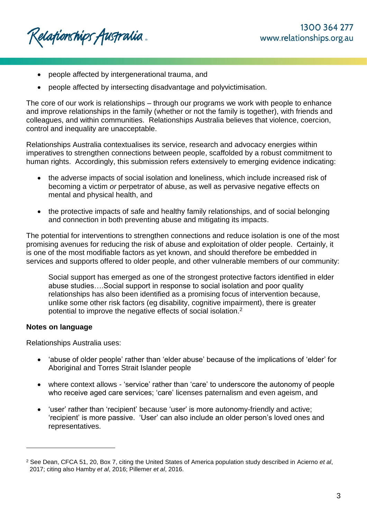- people affected by intergenerational trauma, and
- people affected by intersecting disadvantage and polyvictimisation.

The core of our work is relationships – through our programs we work with people to enhance and improve relationships in the family (whether or not the family is together), with friends and colleagues, and within communities. Relationships Australia believes that violence, coercion, control and inequality are unacceptable.

Relationships Australia contextualises its service, research and advocacy energies within imperatives to strengthen connections between people, scaffolded by a robust commitment to human rights. Accordingly, this submission refers extensively to emerging evidence indicating:

- the adverse impacts of social isolation and loneliness, which include increased risk of becoming a victim *or* perpetrator of abuse, as well as pervasive negative effects on mental and physical health, and
- the protective impacts of safe and healthy family relationships, and of social belonging and connection in both preventing abuse and mitigating its impacts.

The potential for interventions to strengthen connections and reduce isolation is one of the most promising avenues for reducing the risk of abuse and exploitation of older people. Certainly, it is one of the most modifiable factors as yet known, and should therefore be embedded in services and supports offered to older people, and other vulnerable members of our community:

Social support has emerged as one of the strongest protective factors identified in elder abuse studies….Social support in response to social isolation and poor quality relationships has also been identified as a promising focus of intervention because, unlike some other risk factors (eg disability, cognitive impairment), there is greater potential to improve the negative effects of social isolation.<sup>2</sup>

# **Notes on language**

l

Relationships Australia uses:

- 'abuse of older people' rather than 'elder abuse' because of the implications of 'elder' for Aboriginal and Torres Strait Islander people
- where context allows 'service' rather than 'care' to underscore the autonomy of people who receive aged care services; 'care' licenses paternalism and even ageism, and
- 'user' rather than 'recipient' because 'user' is more autonomy-friendly and active; 'recipient' is more passive. 'User' can also include an older person's loved ones and representatives.

<sup>2</sup> See Dean, CFCA 51, 20, Box 7, citing the United States of America population study described in Acierno *et al*, 2017; citing also Hamby *et al*, 2016; Pillemer *et al*, 2016.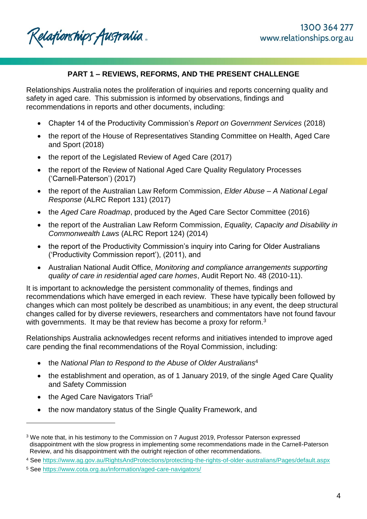Relationships Australia.

# **PART 1 – REVIEWS, REFORMS, AND THE PRESENT CHALLENGE**

Relationships Australia notes the proliferation of inquiries and reports concerning quality and safety in aged care. This submission is informed by observations, findings and recommendations in reports and other documents, including:

- Chapter 14 of the Productivity Commission's *Report on Government Services* (2018)
- the report of the House of Representatives Standing Committee on Health, Aged Care and Sport (2018)
- the report of the Legislated Review of Aged Care (2017)
- the report of the Review of National Aged Care Quality Regulatory Processes ('Carnell-Paterson') (2017)
- the report of the Australian Law Reform Commission, *Elder Abuse – A National Legal Response* (ALRC Report 131) (2017)
- the *Aged Care Roadmap*, produced by the Aged Care Sector Committee (2016)
- the report of the Australian Law Reform Commission, *Equality, Capacity and Disability in Commonwealth Laws* (ALRC Report 124) (2014)
- the report of the Productivity Commission's inquiry into Caring for Older Australians ('Productivity Commission report'), (2011), and
- Australian National Audit Office, *Monitoring and compliance arrangements supporting quality of care in residential aged care homes*, Audit Report No. 48 (2010-11).

It is important to acknowledge the persistent commonality of themes, findings and recommendations which have emerged in each review. These have typically been followed by changes which can most politely be described as unambitious; in any event, the deep structural changes called for by diverse reviewers, researchers and commentators have not found favour with governments. It may be that review has become a proxy for reform.<sup>3</sup>

Relationships Australia acknowledges recent reforms and initiatives intended to improve aged care pending the final recommendations of the Royal Commission, including:

- the *National Plan to Respond to the Abuse of Older Australians*<sup>4</sup>
- the establishment and operation, as of 1 January 2019, of the single Aged Care Quality and Safety Commission
- the Aged Care Navigators Trial<sup>5</sup>

l

the now mandatory status of the Single Quality Framework, and

<sup>3</sup> We note that, in his testimony to the Commission on 7 August 2019, Professor Paterson expressed disappointment with the slow progress in implementing some recommendations made in the Carnell-Paterson Review, and his disappointment with the outright rejection of other recommendations.

<sup>4</sup> See<https://www.ag.gov.au/RightsAndProtections/protecting-the-rights-of-older-australians/Pages/default.aspx>

<sup>5</sup> See<https://www.cota.org.au/information/aged-care-navigators/>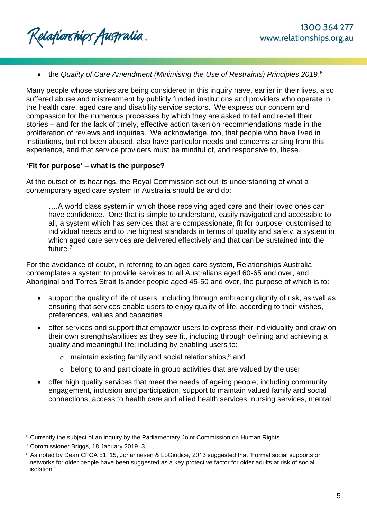Relationships Australia.

• the Quality of Care Amendment (Minimising the Use of Restraints) Principles 2019.<sup>6</sup>

Many people whose stories are being considered in this inquiry have, earlier in their lives, also suffered abuse and mistreatment by publicly funded institutions and providers who operate in the health care, aged care and disability service sectors. We express our concern and compassion for the numerous processes by which they are asked to tell and re-tell their stories – and for the lack of timely, effective action taken on recommendations made in the proliferation of reviews and inquiries. We acknowledge, too, that people who have lived in institutions, but not been abused, also have particular needs and concerns arising from this experience, and that service providers must be mindful of, and responsive to, these.

## **'Fit for purpose' – what is the purpose?**

At the outset of its hearings, the Royal Commission set out its understanding of what a contemporary aged care system in Australia should be and do:

….A world class system in which those receiving aged care and their loved ones can have confidence. One that is simple to understand, easily navigated and accessible to all, a system which has services that are compassionate, fit for purpose, customised to individual needs and to the highest standards in terms of quality and safety, a system in which aged care services are delivered effectively and that can be sustained into the future.<sup>7</sup>

For the avoidance of doubt, in referring to an aged care system, Relationships Australia contemplates a system to provide services to all Australians aged 60-65 and over, and Aboriginal and Torres Strait Islander people aged 45-50 and over, the purpose of which is to:

- support the quality of life of users, including through embracing dignity of risk, as well as ensuring that services enable users to enjoy quality of life, according to their wishes, preferences, values and capacities
- offer services and support that empower users to express their individuality and draw on their own strengths/abilities as they see fit, including through defining and achieving a quality and meaningful life; including by enabling users to:
	- $\circ$  maintain existing family and social relationships,<sup>8</sup> and
	- $\circ$  belong to and participate in group activities that are valued by the user
- offer high quality services that meet the needs of ageing people, including community engagement, inclusion and participation, support to maintain valued family and social connections, access to health care and allied health services, nursing services, mental

<sup>6</sup> Currently the subject of an inquiry by the Parliamentary Joint Commission on Human Rights.

<sup>7</sup> Commissioner Briggs, 18 January 2019, 3.

<sup>8</sup> As noted by Dean CFCA 51, 15, Johannesen & LoGiudice, 2013 suggested that 'Formal social supports or networks for older people have been suggested as a key protective factor for older adults at risk of social isolation.'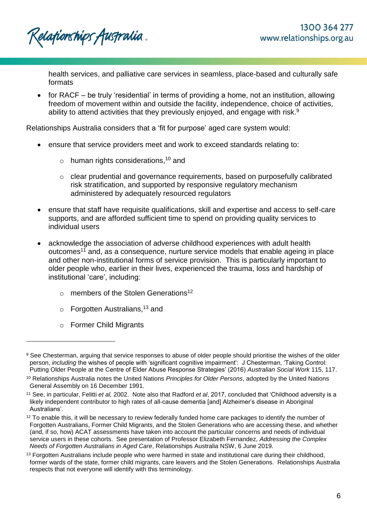Relationships Australia.

health services, and palliative care services in seamless, place-based and culturally safe formats

 for RACF – be truly 'residential' in terms of providing a home, not an institution, allowing freedom of movement within and outside the facility, independence, choice of activities, ability to attend activities that they previously enjoyed, and engage with risk. $9$ 

Relationships Australia considers that a 'fit for purpose' aged care system would:

- ensure that service providers meet and work to exceed standards relating to:
	- o human rights considerations,<sup>10</sup> and
	- o clear prudential and governance requirements, based on purposefully calibrated risk stratification, and supported by responsive regulatory mechanism administered by adequately resourced regulators
- ensure that staff have requisite qualifications, skill and expertise and access to self-care supports, and are afforded sufficient time to spend on providing quality services to individual users
- acknowledge the association of adverse childhood experiences with adult health outcomes<sup>11</sup> and, as a consequence, nurture service models that enable ageing in place and other non-institutional forms of service provision. This is particularly important to older people who, earlier in their lives, experienced the trauma, loss and hardship of institutional 'care', including:
	- $\circ$  members of the Stolen Generations<sup>12</sup>
	- o Forgotten Australians,<sup>13</sup> and
	- o Former Child Migrants

<sup>9</sup> See Chesterman, arguing that service responses to abuse of older people should prioritise the wishes of the older person, *including* the wishes of people with 'significant cognitive impairment': J Chesterman, 'Taking Control: Putting Older People at the Centre of Elder Abuse Response Strategies' (2016) *Australian Social Work* 115, 117.

<sup>10</sup> Relationships Australia notes the United Nations *Principles for Older Persons*, adopted by the United Nations General Assembly on 16 December 1991.

<sup>11</sup> See, in particular, Felitti *et al,* 2002. Note also that Radford *et al*, 2017, concluded that 'Childhood adversity is a likely independent contributor to high rates of all-cause dementia [and] Alzheimer's disease in Aboriginal Australians'.

 $12$  To enable this, it will be necessary to review federally funded home care packages to identify the number of Forgotten Australians, Former Child Migrants, and the Stolen Generations who are accessing these, and whether (and, if so, how) ACAT assessments have taken into account the particular concerns and needs of individual service users in these cohorts. See presentation of Professor Elizabeth Fernandez, *Addressing the Complex Needs of Forgotten Australians in Aged Care*, Relationships Australia NSW, 6 June 2019.

<sup>&</sup>lt;sup>13</sup> Forgotten Australians include people who were harmed in state and institutional care during their childhood, former wards of the state, former child migrants, care leavers and the Stolen Generations. Relationships Australia respects that not everyone will identify with this terminology.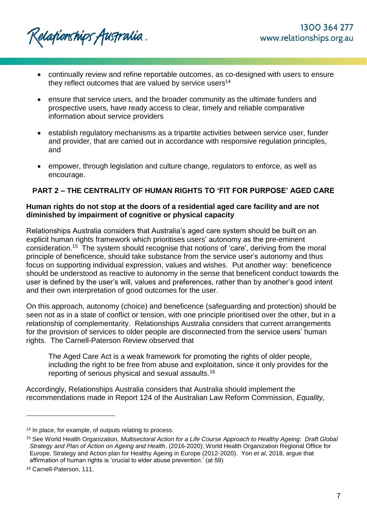Relafionships Australia .

- continually review and refine reportable outcomes, as co-designed with users to ensure they reflect outcomes that are valued by service users<sup>14</sup>
- ensure that service users, and the broader community as the ultimate funders and prospective users, have ready access to clear, timely and reliable comparative information about service providers
- establish regulatory mechanisms as a tripartite activities between service user, funder and provider, that are carried out in accordance with responsive regulation principles, and
- empower, through legislation and culture change, regulators to enforce, as well as encourage.

# **PART 2 – THE CENTRALITY OF HUMAN RIGHTS TO 'FIT FOR PURPOSE' AGED CARE**

## **Human rights do not stop at the doors of a residential aged care facility and are not diminished by impairment of cognitive or physical capacity**

Relationships Australia considers that Australia's aged care system should be built on an explicit human rights framework which prioritises users' autonomy as the pre-eminent consideration.<sup>15</sup> The system should recognise that notions of 'care', deriving from the moral principle of beneficence, should take substance from the service user's autonomy and thus focus on supporting individual expression, values and wishes. Put another way: beneficence should be understood as reactive to autonomy in the sense that beneficent conduct towards the user is defined by the user's will, values and preferences, rather than by another's good intent and their own interpretation of good outcomes for the user.

On this approach, autonomy (choice) and beneficence (safeguarding and protection) should be seen not as in a state of conflict or tension, with one principle prioritised over the other, but in a relationship of complementarity. Relationships Australia considers that current arrangements for the provision of services to older people are disconnected from the service users' human rights. The Carnell-Paterson Review observed that

The Aged Care Act is a weak framework for promoting the rights of older people, including the right to be free from abuse and exploitation, since it only provides for the reporting of serious physical and sexual assaults.<sup>16</sup>

Accordingly, Relationships Australia considers that Australia should implement the recommendations made in Report 124 of the Australian Law Reform Commission, *Equality,* 

<sup>&</sup>lt;sup>14</sup> In place, for example, of outputs relating to process.

<sup>15</sup> See World Health Organization, *Multisectoral Action for a Life Course Approach to Healthy Ageing: Draft Global Strategy and Plan of Action on Ageing and Health*, (2016-2020); World Health Organization Regional Office for Europe, Strategy and Action plan for Healthy Ageing in Europe (2012-2020). Yon *et al*, 2018, argue that affirmation of human rights is 'crucial to elder abuse prevention.' (at 59)

<sup>16</sup> Carnell-Paterson, 111.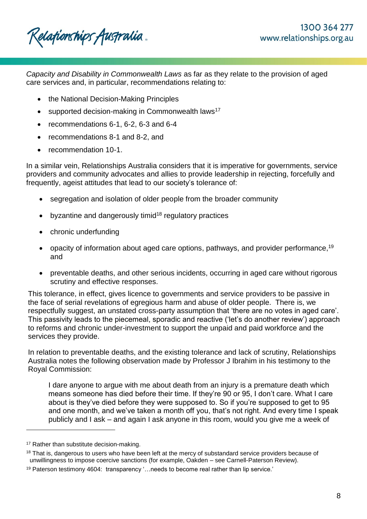Relafionships Australia.

*Capacity and Disability in Commonwealth Laws* as far as they relate to the provision of aged care services and, in particular, recommendations relating to:

- the National Decision-Making Principles
- $\bullet$  supported decision-making in Commonwealth laws<sup>17</sup>
- recommendations 6-1, 6-2, 6-3 and 6-4
- recommendations 8-1 and 8-2, and
- recommendation 10-1.

In a similar vein, Relationships Australia considers that it is imperative for governments, service providers and community advocates and allies to provide leadership in rejecting, forcefully and frequently, ageist attitudes that lead to our society's tolerance of:

- segregation and isolation of older people from the broader community
- byzantine and dangerously timid<sup>18</sup> regulatory practices
- chronic underfunding
- opacity of information about aged care options, pathways, and provider performance,  $19$ and
- preventable deaths, and other serious incidents, occurring in aged care without rigorous scrutiny and effective responses.

This tolerance, in effect, gives licence to governments and service providers to be passive in the face of serial revelations of egregious harm and abuse of older people. There is, we respectfully suggest, an unstated cross-party assumption that 'there are no votes in aged care'. This passivity leads to the piecemeal, sporadic and reactive ('let's do another review') approach to reforms and chronic under-investment to support the unpaid and paid workforce and the services they provide.

In relation to preventable deaths, and the existing tolerance and lack of scrutiny, Relationships Australia notes the following observation made by Professor J Ibrahim in his testimony to the Royal Commission:

I dare anyone to argue with me about death from an injury is a premature death which means someone has died before their time. If they're 90 or 95, I don't care. What I care about is they've died before they were supposed to. So if you're supposed to get to 95 and one month, and we've taken a month off you, that's not right. And every time I speak publicly and I ask – and again I ask anyone in this room, would you give me a week of

<sup>&</sup>lt;sup>17</sup> Rather than substitute decision-making.

<sup>&</sup>lt;sup>18</sup> That is, dangerous to users who have been left at the mercy of substandard service providers because of unwillingness to impose coercive sanctions (for example, Oakden – see Carnell-Paterson Review).

<sup>19</sup> Paterson testimony 4604: transparency '…needs to become real rather than lip service.'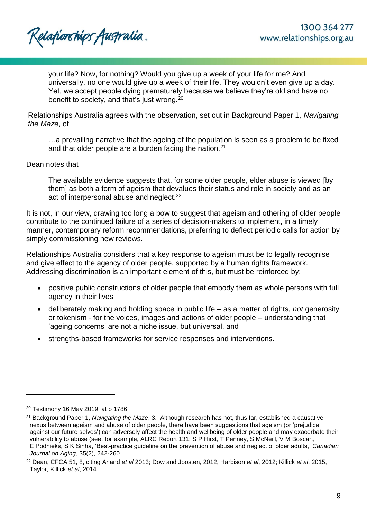Relafionships Australia .

your life? Now, for nothing? Would you give up a week of your life for me? And universally, no one would give up a week of their life. They wouldn't even give up a day. Yet, we accept people dying prematurely because we believe they're old and have no benefit to society, and that's just wrong.<sup>20</sup>

Relationships Australia agrees with the observation, set out in Background Paper 1, *Navigating the Maze*, of

…a prevailing narrative that the ageing of the population is seen as a problem to be fixed and that older people are a burden facing the nation.<sup>21</sup>

### Dean notes that

The available evidence suggests that, for some older people, elder abuse is viewed [by them] as both a form of ageism that devalues their status and role in society and as an act of interpersonal abuse and neglect.<sup>22</sup>

It is not, in our view, drawing too long a bow to suggest that ageism and othering of older people contribute to the continued failure of a series of decision-makers to implement, in a timely manner, contemporary reform recommendations, preferring to deflect periodic calls for action by simply commissioning new reviews.

Relationships Australia considers that a key response to ageism must be to legally recognise and give effect to the agency of older people, supported by a human rights framework. Addressing discrimination is an important element of this, but must be reinforced by:

- positive public constructions of older people that embody them as whole persons with full agency in their lives
- deliberately making and holding space in public life as a matter of rights, *not* generosity or tokenism - for the voices, images and actions of older people – understanding that 'ageing concerns' are not a niche issue, but universal, and
- strengths-based frameworks for service responses and interventions.

<sup>20</sup> Testimony 16 May 2019, at p 1786.

<sup>21</sup> Background Paper 1, *Navigating the Maze*, 3. Although research has not, thus far, established a causative nexus between ageism and abuse of older people, there have been suggestions that ageism (or 'prejudice against our future selves') can adversely affect the health and wellbeing of older people and may exacerbate their vulnerability to abuse (see, for example, ALRC Report 131; S P Hirst, T Penney, S McNeill, V M Boscart, E Podnieks, S K Sinha, 'Best-practice guideline on the prevention of abuse and neglect of older adults,' *Canadian Journal on Aging*, 35(2), 242-260.

<sup>22</sup> Dean, CFCA 51, 8, citing Anand *et al* 2013; Dow and Joosten, 2012, Harbison *et al*, 2012; Killick *et al*, 2015, Taylor, Killick *et al*, 2014.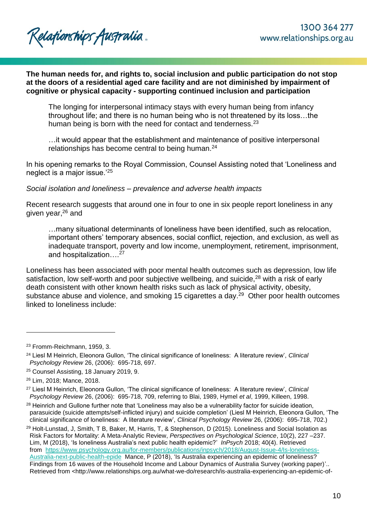## **The human needs for, and rights to, social inclusion and public participation do not stop at the doors of a residential aged care facility and are not diminished by impairment of cognitive or physical capacity - supporting continued inclusion and participation**

The longing for interpersonal intimacy stays with every human being from infancy throughout life; and there is no human being who is not threatened by its loss…the human being is born with the need for contact and tenderness.<sup>23</sup>

…it would appear that the establishment and maintenance of positive interpersonal relationships has become central to being human.<sup>24</sup>

In his opening remarks to the Royal Commission, Counsel Assisting noted that 'Loneliness and neglect is a major issue.'<sup>25</sup>

*Social isolation and loneliness – prevalence and adverse health impacts*

Recent research suggests that around one in four to one in six people report loneliness in any given year, <sup>26</sup> and

…many situational determinants of loneliness have been identified, such as relocation, important others' temporary absences, social conflict, rejection, and exclusion, as well as inadequate transport, poverty and low income, unemployment, retirement, imprisonment, and hospitalization...<sup>27</sup>

Loneliness has been associated with poor mental health outcomes such as depression, low life satisfaction, low self-worth and poor subjective wellbeing, and suicide,<sup>28</sup> with a risk of early death consistent with other known health risks such as lack of physical activity, obesity, substance abuse and violence, and smoking 15 cigarettes a day.<sup>29</sup> Other poor health outcomes linked to loneliness include:

<sup>23</sup> Fromm-Reichmann, 1959, 3.

<sup>24</sup> Liesl M Heinrich, Eleonora Gullon, 'The clinical significance of loneliness: A literature review', *Clinical Psychology Review* 26, (2006): 695-718, 697.

<sup>25</sup> Counsel Assisting, 18 January 2019, 9.

<sup>26</sup> Lim, 2018; Mance, 2018.

<sup>27</sup> Liesl M Heinrich, Eleonora Gullon, 'The clinical significance of loneliness: A literature review', *Clinical Psychology Review* 26, (2006): 695-718, 709, referring to Blai, 1989, Hymel *et al*, 1999, Killeen, 1998.

<sup>&</sup>lt;sup>28</sup> Heinrich and Gullone further note that 'Loneliness may also be a vulnerability factor for suicide ideation, parasuicide (suicide attempts/self-inflicted injury) and suicide completion' (Liesl M Heinrich, Eleonora Gullon, 'The clinical significance of loneliness: A literature review', *Clinical Psychology Review* 26, (2006): 695-718, 702.)

<sup>&</sup>lt;sup>29</sup> Holt-Lunstad, J, Smith, T B, Baker, M, Harris, T, & Stephenson, D (2015). Loneliness and Social Isolation as Risk Factors for Mortality: A Meta-Analytic Review, *Perspectives on Psychological Science*, 10(2), 227 –237. Lim, M (2018), 'Is loneliness Australia's next public health epidemic?' *InPsych* 2018; 40(4). Retrieved from [https://www.psychology.org.au/for-members/publications/inpsych/2018/August-Issue-4/Is-loneliness-](https://www.psychology.org.au/for-members/publications/inpsych/2018/August-Issue-4/Is-loneliness-Australia-next-public-health-epide)[Australia-next-public-health-epide](https://www.psychology.org.au/for-members/publications/inpsych/2018/August-Issue-4/Is-loneliness-Australia-next-public-health-epide) Mance, P (2018), 'Is Australia experiencing an epidemic of loneliness? Findings from 16 waves of the Household Income and Labour Dynamics of Australia Survey (working paper)'.. Retrieved from <http://www.relationships.org.au/what-we-do/research/is-australia-experiencing-an-epidemic-of-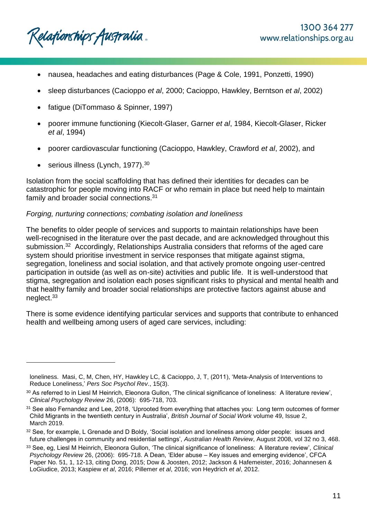Relationships Australia.

- nausea, headaches and eating disturbances (Page & Cole, 1991, Ponzetti, 1990)
- sleep disturbances (Cacioppo *et al*, 2000; Cacioppo, Hawkley, Berntson *et al*, 2002)
- fatigue (DiTommaso & Spinner, 1997)
- poorer immune functioning (Kiecolt-Glaser, Garner *et al*, 1984, Kiecolt-Glaser, Ricker *et al*, 1994)
- poorer cardiovascular functioning (Cacioppo, Hawkley, Crawford *et al*, 2002), and
- serious illness (Lynch, 1977).<sup>30</sup>

l

Isolation from the social scaffolding that has defined their identities for decades can be catastrophic for people moving into RACF or who remain in place but need help to maintain family and broader social connections.<sup>31</sup>

## *Forging, nurturing connections; combating isolation and loneliness*

The benefits to older people of services and supports to maintain relationships have been well-recognised in the literature over the past decade, and are acknowledged throughout this submission.<sup>32</sup> Accordingly, Relationships Australia considers that reforms of the aged care system should prioritise investment in service responses that mitigate against stigma, segregation, loneliness and social isolation, and that actively promote ongoing user-centred participation in outside (as well as on-site) activities and public life. It is well-understood that stigma, segregation and isolation each poses significant risks to physical and mental health and that healthy family and broader social relationships are protective factors against abuse and neglect.<sup>33</sup>

There is some evidence identifying particular services and supports that contribute to enhanced health and wellbeing among users of aged care services, including:

loneliness. Masi, C, M, Chen, HY, Hawkley LC, & Cacioppo, J, T, (2011), 'Meta-Analysis of Interventions to Reduce Loneliness,' *Pers Soc Psychol Rev*., 15(3).

<sup>30</sup> As referred to in Liesl M Heinrich, Eleonora Gullon, 'The clinical significance of loneliness: A literature review', *Clinical Psychology Review* 26, (2006): 695-718, 703.

<sup>&</sup>lt;sup>31</sup> See also Fernandez and Lee, 2018, 'Uprooted from everything that attaches you: Long term outcomes of former Child Migrants in the twentieth century in Australia', *British Journal of Social Work* volume 49, Issue 2, March 2019.

<sup>32</sup> See, for example, L Grenade and D Boldy, 'Social isolation and loneliness among older people: issues and future challenges in community and residential settings', *Australian Health Review*, August 2008, vol 32 no 3, 468.

<sup>33</sup> See, eg, Liesl M Heinrich, Eleonora Gullon, 'The clinical significance of loneliness: A literature review', *Clinical Psychology Review* 26, (2006): 695-718. A Dean, 'Elder abuse – Key issues and emerging evidence', CFCA Paper No. 51, 1, 12-13, citing Dong, 2015; Dow & Joosten, 2012; Jackson & Hafemeister, 2016; Johannesen & LoGiudice, 2013; Kaspiew *et al*, 2016; Pillemer *et al*, 2016; von Heydrich *et al*, 2012.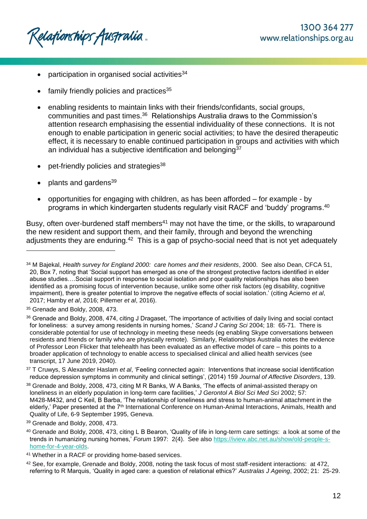Relafionships Australia .

- participation in organised social activities<sup>34</sup>
- family friendly policies and practices<sup>35</sup>
- enabling residents to maintain links with their friends/confidants, social groups, communities and past times.<sup>36</sup> Relationships Australia draws to the Commission's attention research emphasising the essential individuality of these connections. It is not enough to enable participation in generic social activities; to have the desired therapeutic effect, it is necessary to enable continued participation in groups and activities with which an individual has a subjective identification and belonging  $37$
- pet-friendly policies and strategies<sup>38</sup>
- plants and gardens<sup>39</sup>
- opportunities for engaging with children, as has been afforded for example by programs in which kindergarten students regularly visit RACF and 'buddy' programs. 40

Busy, often over-burdened staff members<sup>41</sup> may not have the time, or the skills, to wraparound the new resident and support them, and their family, through and beyond the wrenching adjustments they are enduring.<sup>42</sup> This is a gap of psycho-social need that is not yet adequately

l

<sup>37</sup> T Cruwys, S Alexander Haslam *et al*, 'Feeling connected again: Interventions that increase social identification reduce depression symptoms in community and clinical settings', (2014) 159 *Journal of Affective Disorders*, 139.

<sup>34</sup> M Bajekal, *Health survey for England 2000: care homes and their residents*, 2000. See also Dean, CFCA 51, 20, Box 7, noting that 'Social support has emerged as one of the strongest protective factors identified in elder abuse studies….Social support in response to social isolation and poor quality relationships has also been identified as a promising focus of intervention because, unlike some other risk factors (eg disability, cognitive impairment), there is greater potential to improve the negative effects of social isolation.' (citing Acierno *et al*, 2017; Hamby *et al*, 2016; Pillemer *et al*, 2016).

<sup>&</sup>lt;sup>35</sup> Grenade and Boldy, 2008, 473.

<sup>36</sup> Grenade and Boldy, 2008, 474, citing J Dragaset, 'The importance of activities of daily living and social contact for loneliness: a survey among residents in nursing homes,' *Scand J Caring Sci* 2004; 18: 65-71. There is considerable potential for use of technology in meeting these needs (eg enabling Skype conversations between residents and friends or family who are physically remote). Similarly, Relationships Australia notes the evidence of Professor Leon Flicker that telehealth has been evaluated as an effective model of care – this points to a broader application of technology to enable access to specialised clinical and allied health services (see transcript, 17 June 2019, 2040).

<sup>38</sup> Grenade and Boldy, 2008, 473, citing M R Banks, W A Banks, 'The effects of animal-assisted therapy on loneliness in an elderly population in long-term care facilities,' *J Gerontol A Biol Sci Med Sci* 2002; 57: M428-M432, and C Keil, B Barba, 'The relationship of loneliness and stress to human-animal attachment in the elderly,' Paper presented at the 7<sup>th</sup> International Conference on Human-Animal Interactions, Animals, Health and Quality of Life, 6-9 September 1995, Geneva.

<sup>39</sup> Grenade and Boldy, 2008, 473.

<sup>40</sup> Grenade and Boldy, 2008, 473, citing L B Bearon, 'Quality of life in long-term care settings: a look at some of the trends in humanizing nursing homes,' *Forum* 1997: 2(4). See also [https://iview.abc.net.au/show/old-people-s](https://iview.abc.net.au/show/old-people-s-home-for-4-year-olds)[home-for-4-year-olds.](https://iview.abc.net.au/show/old-people-s-home-for-4-year-olds)

<sup>41</sup> Whether in a RACF or providing home-based services.

<sup>42</sup> See, for example, Grenade and Boldy, 2008, noting the task focus of most staff-resident interactions: at 472, referring to R Marquis, 'Quality in aged care: a question of relational ethics?' *Australas J Ageing*, 2002; 21: 25-29.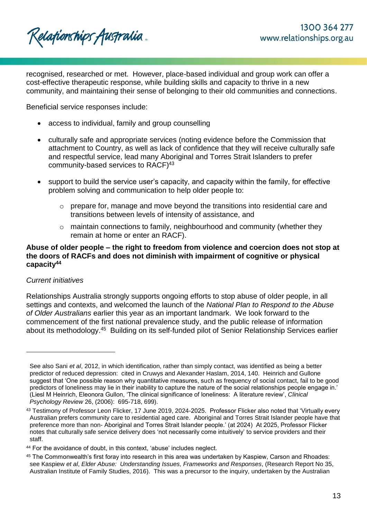Relafionships Australia .

recognised, researched or met. However, place-based individual and group work can offer a cost-effective therapeutic response, while building skills and capacity to thrive in a new community, and maintaining their sense of belonging to their old communities and connections.

Beneficial service responses include:

- access to individual, family and group counselling
- culturally safe and appropriate services (noting evidence before the Commission that attachment to Country, as well as lack of confidence that they will receive culturally safe and respectful service, lead many Aboriginal and Torres Strait Islanders to prefer community-based services to RACF)<sup>43</sup>
- support to build the service user's capacity, and capacity within the family, for effective problem solving and communication to help older people to:
	- $\circ$  prepare for, manage and move beyond the transitions into residential care and transitions between levels of intensity of assistance, and
	- o maintain connections to family, neighbourhood and community (whether they remain at home or enter an RACF).

## **Abuse of older people – the right to freedom from violence and coercion does not stop at the doors of RACFs and does not diminish with impairment of cognitive or physical capacity<sup>44</sup>**

## *Current initiatives*

l

Relationships Australia strongly supports ongoing efforts to stop abuse of older people, in all settings and contexts, and welcomed the launch of the *National Plan to Respond to the Abuse of Older Australians* earlier this year as an important landmark. We look forward to the commencement of the first national prevalence study, and the public release of information about its methodology.<sup>45</sup> Building on its self-funded pilot of Senior Relationship Services earlier

See also Sani *et al*, 2012, in which identification, rather than simply contact, was identified as being a better predictor of reduced depression: cited in Cruwys and Alexander Haslam, 2014, 140. Heinrich and Gullone suggest that 'One possible reason why quantitative measures, such as frequency of social contact, fail to be good predictors of loneliness may lie in their inability to capture the nature of the social relationships people engage in.' (Liesl M Heinrich, Eleonora Gullon, 'The clinical significance of loneliness: A literature review', *Clinical Psychology Review* 26, (2006): 695-718, 699).

<sup>&</sup>lt;sup>43</sup> Testimony of Professor Leon Flicker, 17 June 2019, 2024-2025. Professor Flicker also noted that 'Virtually every Australian prefers community care to residential aged care. Aboriginal and Torres Strait Islander people have that preference more than non- Aboriginal and Torres Strait Islander people.' (at 2024) At 2025, Professor Flicker notes that culturally safe service delivery does 'not necessarily come intuitively' to service providers and their staff.

<sup>44</sup> For the avoidance of doubt, in this context, 'abuse' includes neglect.

<sup>45</sup> The Commonwealth's first foray into research in this area was undertaken by Kaspiew, Carson and Rhoades: see Kaspiew *et al*, *Elder Abuse: Understanding Issues, Frameworks and Responses*, (Research Report No 35, Australian Institute of Family Studies, 2016). This was a precursor to the inquiry, undertaken by the Australian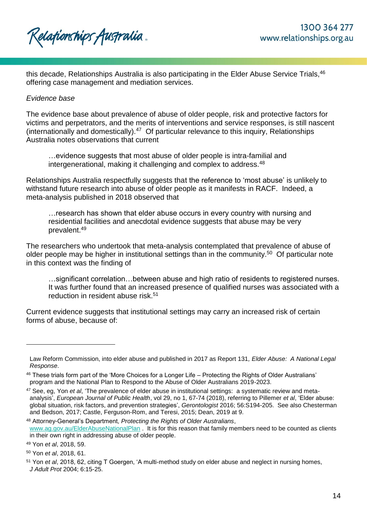

this decade, Relationships Australia is also participating in the Elder Abuse Service Trials, 46 offering case management and mediation services.

### *Evidence base*

The evidence base about prevalence of abuse of older people, risk and protective factors for victims and perpetrators, and the merits of interventions and service responses, is still nascent (internationally and domestically).<sup>47</sup> Of particular relevance to this inquiry, Relationships Australia notes observations that current

…evidence suggests that most abuse of older people is intra-familial and intergenerational, making it challenging and complex to address.<sup>48</sup>

Relationships Australia respectfully suggests that the reference to 'most abuse' is unlikely to withstand future research into abuse of older people as it manifests in RACF. Indeed, a meta-analysis published in 2018 observed that

…research has shown that elder abuse occurs in every country with nursing and residential facilities and anecdotal evidence suggests that abuse may be very prevalent.<sup>49</sup>

The researchers who undertook that meta-analysis contemplated that prevalence of abuse of older people may be higher in institutional settings than in the community.<sup>50</sup> Of particular note in this context was the finding of

…significant correlation…between abuse and high ratio of residents to registered nurses. It was further found that an increased presence of qualified nurses was associated with a reduction in resident abuse risk.<sup>51</sup>

Current evidence suggests that institutional settings may carry an increased risk of certain forms of abuse, because of:

<sup>48</sup> Attorney-General's Department, *Protecting the Rights of Older Australians*, [www.ag.gov.au/ElderAbuseNationalPlan](http://www.ag.gov.au/ElderAbuseNationalPlan) . It is for this reason that family members need to be counted as clients in their own right in addressing abuse of older people.

Law Reform Commission, into elder abuse and published in 2017 as Report 131*, Elder Abuse: A National Legal Response*.

<sup>46</sup> These trials form part of the 'More Choices for a Longer Life – Protecting the Rights of Older Australians' program and the National Plan to Respond to the Abuse of Older Australians 2019-2023.

<sup>47</sup> See, eg, Yon *et al*, 'The prevalence of elder abuse in institutional settings: a systematic review and metaanalysis', *European Journal of Public Health*, vol 29, no 1, 67-74 (2018), referring to Pillemer *et al*, 'Elder abuse: global situation, risk factors, and prevention strategies', *Gerontologist* 2016; 56:S194-205. See also Chesterman and Bedson, 2017; Castle, Ferguson-Rom, and Teresi, 2015; Dean, 2019 at 9.

<sup>49</sup> Yon *et al*, 2018, 59.

<sup>50</sup> Yon *et al*, 2018, 61.

<sup>51</sup> Yon *et al*, 2018, 62, citing T Goergen, 'A multi-method study on elder abuse and neglect in nursing homes, *J Adult Prot* 2004; 6:15-25.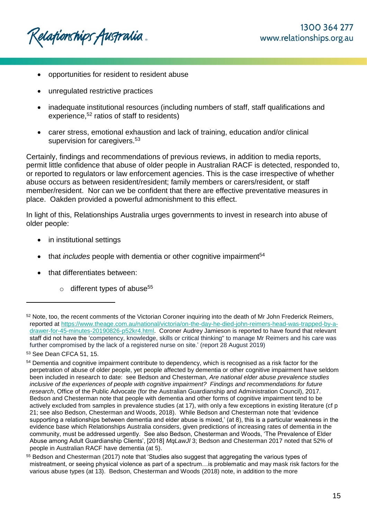Relafionships Australia .

- opportunities for resident to resident abuse
- unregulated restrictive practices
- inadequate institutional resources (including numbers of staff, staff qualifications and experience,<sup>52</sup> ratios of staff to residents)
- carer stress, emotional exhaustion and lack of training, education and/or clinical supervision for caregivers.<sup>53</sup>

Certainly, findings and recommendations of previous reviews, in addition to media reports, permit little confidence that abuse of older people in Australian RACF is detected, responded to, or reported to regulators or law enforcement agencies. This is the case irrespective of whether abuse occurs as between resident/resident; family members or carers/resident, or staff member/resident. Nor can we be confident that there are effective preventative measures in place. Oakden provided a powerful admonishment to this effect.

In light of this, Relationships Australia urges governments to invest in research into abuse of older people:

- in institutional settings
- that *includes* people with dementia or other cognitive impairment<sup>54</sup>
- that differentiates between:
	- $\circ$  different types of abuse<sup>55</sup>

<sup>&</sup>lt;sup>52</sup> Note, too, the recent comments of the Victorian Coroner inquiring into the death of Mr John Frederick Reimers, reported at [https://www.theage.com.au/national/victoria/on-the-day-he-died-john-reimers-head-was-trapped-by-a](https://www.theage.com.au/national/victoria/on-the-day-he-died-john-reimers-head-was-trapped-by-a-drawer-for-45-minutes-20190826-p52kr4.html)[drawer-for-45-minutes-20190826-p52kr4.html.](https://www.theage.com.au/national/victoria/on-the-day-he-died-john-reimers-head-was-trapped-by-a-drawer-for-45-minutes-20190826-p52kr4.html) Coroner Audrey Jamieson is reported to have found that relevant staff did not have the 'competency, knowledge, skills or critical thinking" to manage Mr Reimers and his care was further compromised by the lack of a registered nurse on site.' (report 28 August 2019)

<sup>53</sup> See Dean CFCA 51, 15.

<sup>&</sup>lt;sup>54</sup> Dementia and cognitive impairment contribute to dependency, which is recognised as a risk factor for the perpetration of abuse of older people, yet people affected by dementia or other cognitive impairment have seldom been included in research to date: see Bedson and Chesterman, *Are national elder abuse prevalence studies inclusive of the experiences of people with cognitive impairment? Findings and recommendations for future research*, Office of the Public Advocate (for the Australian Guardianship and Administration Council), 2017. Bedson and Chesterman note that people with dementia and other forms of cognitive impairment tend to be actively excluded from samples in prevalence studies (at 17), with only a few exceptions in existing literature (cf p 21; see also Bedson, Chesterman and Woods, 2018). While Bedson and Chesterman note that 'evidence supporting a relationships between dementia and elder abuse is mixed,' (at 8), this is a particular weakness in the evidence base which Relationships Australia considers, given predictions of increasing rates of dementia in the community, must be addressed urgently. See also Bedson, Chesterman and Woods, 'The Prevalence of Elder Abuse among Adult Guardianship Clients', [2018] *MqLawJl* 3; Bedson and Chesterman 2017 noted that 52% of people in Australian RACF have dementia (at 5).

<sup>55</sup> Bedson and Chesterman (2017) note that 'Studies also suggest that aggregating the various types of mistreatment, or seeing physical violence as part of a spectrum…is problematic and may mask risk factors for the various abuse types (at 13). Bedson, Chesterman and Woods (2018) note, in addition to the more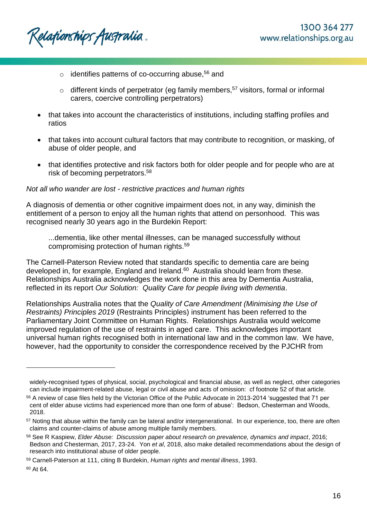Relafionships Australia.

- $\circ$  identifies patterns of co-occurring abuse,<sup>56</sup> and
- $\circ$  different kinds of perpetrator (eg family members,<sup>57</sup> visitors, formal or informal carers, coercive controlling perpetrators)
- that takes into account the characteristics of institutions, including staffing profiles and ratios
- that takes into account cultural factors that may contribute to recognition, or masking, of abuse of older people, and
- that identifies protective and risk factors both for older people and for people who are at risk of becoming perpetrators.<sup>58</sup>

## *Not all who wander are lost - restrictive practices and human rights*

A diagnosis of dementia or other cognitive impairment does not, in any way, diminish the entitlement of a person to enjoy all the human rights that attend on personhood. This was recognised nearly 30 years ago in the Burdekin Report:

...dementia, like other mental illnesses, can be managed successfully without compromising protection of human rights.<sup>59</sup>

The Carnell-Paterson Review noted that standards specific to dementia care are being developed in, for example, England and Ireland.<sup>60</sup> Australia should learn from these. Relationships Australia acknowledges the work done in this area by Dementia Australia, reflected in its report *Our Solution: Quality Care for people living with dementia*.

Relationships Australia notes that the *Quality of Care Amendment (Minimising the Use of Restraints) Principles 2019* (Restraints Principles) instrument has been referred to the Parliamentary Joint Committee on Human Rights. Relationships Australia would welcome improved regulation of the use of restraints in aged care. This acknowledges important universal human rights recognised both in international law and in the common law. We have, however, had the opportunity to consider the correspondence received by the PJCHR from

widely-recognised types of physical, social, psychological and financial abuse, as well as neglect, other categories can include impairment-related abuse, legal or civil abuse and acts of omission: cf footnote 52 of that article.

<sup>56</sup> A review of case files held by the Victorian Office of the Public Advocate in 2013-2014 'suggested that 71 per cent of elder abuse victims had experienced more than one form of abuse': Bedson, Chesterman and Woods, 2018.

<sup>&</sup>lt;sup>57</sup> Noting that abuse within the family can be lateral and/or intergenerational. In our experience, too, there are often claims and counter-claims of abuse among multiple family members.

<sup>58</sup> See R Kaspiew, *Elder Abuse: Discussion paper about research on prevalence, dynamics and impact*, 2016; Bedson and Chesterman, 2017, 23-24. Yon *et al*, 2018, also make detailed recommendations about the design of research into institutional abuse of older people.

<sup>59</sup> Carnell-Paterson at 111, citing B Burdekin, *Human rights and mental illness*, 1993.

<sup>60</sup> At 64.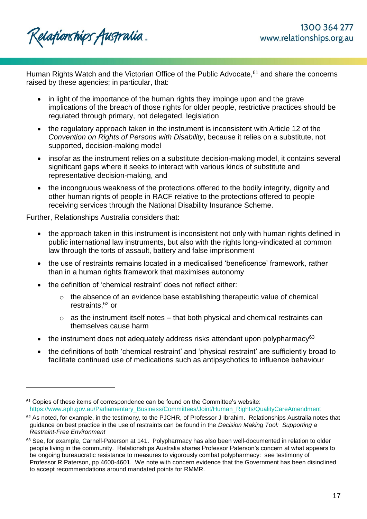Relafionships Australia.

Human Rights Watch and the Victorian Office of the Public Advocate,<sup>61</sup> and share the concerns raised by these agencies; in particular, that:

- in light of the importance of the human rights they impinge upon and the grave implications of the breach of those rights for older people, restrictive practices should be regulated through primary, not delegated, legislation
- the regulatory approach taken in the instrument is inconsistent with Article 12 of the *Convention on Rights of Persons with Disability*, because it relies on a substitute, not supported, decision-making model
- insofar as the instrument relies on a substitute decision-making model, it contains several significant gaps where it seeks to interact with various kinds of substitute and representative decision-making, and
- the incongruous weakness of the protections offered to the bodily integrity, dignity and other human rights of people in RACF relative to the protections offered to people receiving services through the National Disability Insurance Scheme.

Further, Relationships Australia considers that:

- the approach taken in this instrument is inconsistent not only with human rights defined in public international law instruments, but also with the rights long-vindicated at common law through the torts of assault, battery and false imprisonment
- the use of restraints remains located in a medicalised 'beneficence' framework, rather than in a human rights framework that maximises autonomy
- the definition of 'chemical restraint' does not reflect either:
	- o the absence of an evidence base establishing therapeutic value of chemical restraints, <sup>62</sup> or
	- $\circ$  as the instrument itself notes that both physical and chemical restraints can themselves cause harm
- the instrument does not adequately address risks attendant upon polypharmacy<sup>63</sup>
- the definitions of both 'chemical restraint' and 'physical restraint' are sufficiently broad to facilitate continued use of medications such as antipsychotics to influence behaviour

 $61$  Copies of these items of correspondence can be found on the Committee's website: [https://www.aph.gov.au/Parliamentary\\_Business/Committees/Joint/Human\\_Rights/QualityCareAmendment](https://www.aph.gov.au/Parliamentary_Business/Committees/Joint/Human_Rights/QualityCareAmendment)

 $62$  As noted, for example, in the testimony, to the PJCHR, of Professor J Ibrahim. Relationships Australia notes that guidance on best practice in the use of restraints can be found in the *Decision Making Tool: Supporting a Restraint-Free Environment*

<sup>63</sup> See, for example, Carnell-Paterson at 141. Polypharmacy has also been well-documented in relation to older people living in the community. Relationships Australia shares Professor Paterson's concern at what appears to be ongoing bureaucratic resistance to measures to vigorously combat polypharmacy: see testimony of Professor R Paterson, pp 4600-4601. We note with concern evidence that the Government has been disinclined to accept recommendations around mandated points for RMMR.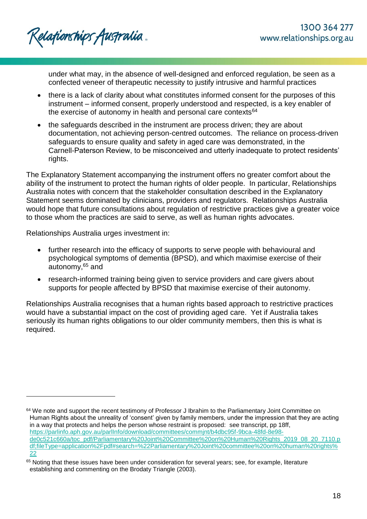under what may, in the absence of well-designed and enforced regulation, be seen as a confected veneer of therapeutic necessity to justify intrusive and harmful practices

- there is a lack of clarity about what constitutes informed consent for the purposes of this instrument – informed consent, properly understood and respected, is a key enabler of the exercise of autonomy in health and personal care contexts<sup>64</sup>
- the safeguards described in the instrument are process driven; they are about documentation, not achieving person-centred outcomes. The reliance on process-driven safeguards to ensure quality and safety in aged care was demonstrated, in the Carnell-Paterson Review, to be misconceived and utterly inadequate to protect residents' rights.

The Explanatory Statement accompanying the instrument offers no greater comfort about the ability of the instrument to protect the human rights of older people. In particular, Relationships Australia notes with concern that the stakeholder consultation described in the Explanatory Statement seems dominated by clinicians, providers and regulators. Relationships Australia would hope that future consultations about regulation of restrictive practices give a greater voice to those whom the practices are said to serve, as well as human rights advocates.

Relationships Australia urges investment in:

l

- further research into the efficacy of supports to serve people with behavioural and psychological symptoms of dementia (BPSD), and which maximise exercise of their  $autonomy<sub>1</sub><sup>65</sup> and$
- research-informed training being given to service providers and care givers about supports for people affected by BPSD that maximise exercise of their autonomy.

Relationships Australia recognises that a human rights based approach to restrictive practices would have a substantial impact on the cost of providing aged care. Yet if Australia takes seriously its human rights obligations to our older community members, then this is what is required.

<sup>&</sup>lt;sup>64</sup> We note and support the recent testimony of Professor J Ibrahim to the Parliamentary Joint Committee on Human Rights about the unreality of 'consent' given by family members, under the impression that they are acting in a way that protects and helps the person whose restraint is proposed: see transcript, pp 18ff, [https://parlinfo.aph.gov.au/parlInfo/download/committees/commjnt/b4dbc95f-9bca-48fd-8e98](https://parlinfo.aph.gov.au/parlInfo/download/committees/commjnt/b4dbc95f-9bca-48fd-8e98-de0c521c660a/toc_pdf/Parliamentary%20Joint%20Committee%20on%20Human%20Rights_2019_08_20_7110.pdf;fileType=application%2Fpdf#search=%22Parliamentary%20Joint%20committee%20on%20human%20rights%22) [de0c521c660a/toc\\_pdf/Parliamentary%20Joint%20Committee%20on%20Human%20Rights\\_2019\\_08\\_20\\_7110.p](https://parlinfo.aph.gov.au/parlInfo/download/committees/commjnt/b4dbc95f-9bca-48fd-8e98-de0c521c660a/toc_pdf/Parliamentary%20Joint%20Committee%20on%20Human%20Rights_2019_08_20_7110.pdf;fileType=application%2Fpdf#search=%22Parliamentary%20Joint%20committee%20on%20human%20rights%22) [df;fileType=application%2Fpdf#search=%22Parliamentary%20Joint%20committee%20on%20human%20rights%](https://parlinfo.aph.gov.au/parlInfo/download/committees/commjnt/b4dbc95f-9bca-48fd-8e98-de0c521c660a/toc_pdf/Parliamentary%20Joint%20Committee%20on%20Human%20Rights_2019_08_20_7110.pdf;fileType=application%2Fpdf#search=%22Parliamentary%20Joint%20committee%20on%20human%20rights%22) [22](https://parlinfo.aph.gov.au/parlInfo/download/committees/commjnt/b4dbc95f-9bca-48fd-8e98-de0c521c660a/toc_pdf/Parliamentary%20Joint%20Committee%20on%20Human%20Rights_2019_08_20_7110.pdf;fileType=application%2Fpdf#search=%22Parliamentary%20Joint%20committee%20on%20human%20rights%22)

<sup>&</sup>lt;sup>65</sup> Noting that these issues have been under consideration for several years; see, for example, literature establishing and commenting on the Brodaty Triangle (2003).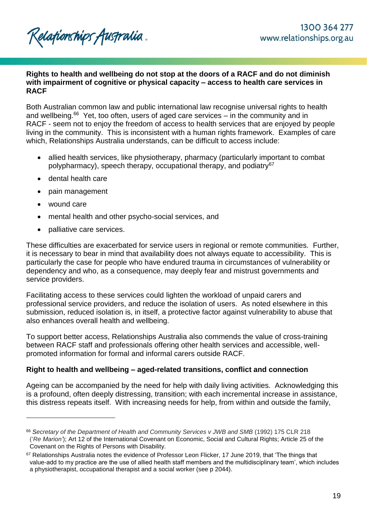Relationships Australia.

### **Rights to health and wellbeing do not stop at the doors of a RACF and do not diminish with impairment of cognitive or physical capacity – access to health care services in RACF**

Both Australian common law and public international law recognise universal rights to health and wellbeing.<sup>66</sup> Yet, too often, users of aged care services – in the community and in RACF - seem not to enjoy the freedom of access to health services that are enjoyed by people living in the community. This is inconsistent with a human rights framework. Examples of care which, Relationships Australia understands, can be difficult to access include:

- allied health services, like physiotherapy, pharmacy (particularly important to combat polypharmacy), speech therapy, occupational therapy, and podiatry<sup>67</sup>
- dental health care
- pain management
- wound care

l

- mental health and other psycho-social services, and
- palliative care services.

These difficulties are exacerbated for service users in regional or remote communities. Further, it is necessary to bear in mind that availability does not always equate to accessibility. This is particularly the case for people who have endured trauma in circumstances of vulnerability or dependency and who, as a consequence, may deeply fear and mistrust governments and service providers.

Facilitating access to these services could lighten the workload of unpaid carers and professional service providers, and reduce the isolation of users. As noted elsewhere in this submission, reduced isolation is, in itself, a protective factor against vulnerability to abuse that also enhances overall health and wellbeing.

To support better access, Relationships Australia also commends the value of cross-training between RACF staff and professionals offering other health services and accessible, wellpromoted information for formal and informal carers outside RACF.

## **Right to health and wellbeing – aged-related transitions, conflict and connection**

Ageing can be accompanied by the need for help with daily living activities. Acknowledging this is a profound, often deeply distressing, transition; with each incremental increase in assistance, this distress repeats itself. With increasing needs for help, from within and outside the family,

<sup>66</sup> *Secretary of the Department of Health and Community Services v JWB and SMB* (1992) 175 CLR 218 ('*Re Marion'*); Art 12 of the International Covenant on Economic, Social and Cultural Rights; Article 25 of the Covenant on the Rights of Persons with Disability.

<sup>&</sup>lt;sup>67</sup> Relationships Australia notes the evidence of Professor Leon Flicker, 17 June 2019, that 'The things that value-add to my practice are the use of allied health staff members and the multidisciplinary team', which includes a physiotherapist, occupational therapist and a social worker (see p 2044).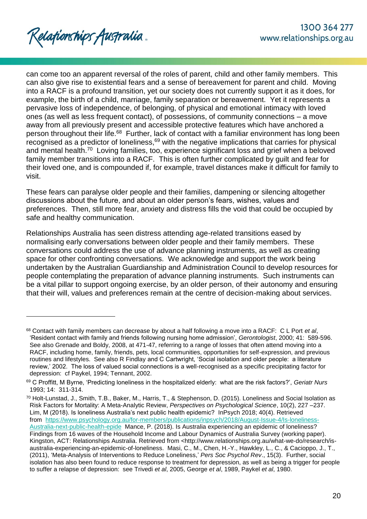Relafionships Australia .

l

can come too an apparent reversal of the roles of parent, child and other family members. This can also give rise to existential fears and a sense of bereavement for parent and child. Moving into a RACF is a profound transition, yet our society does not currently support it as it does, for example, the birth of a child, marriage, family separation or bereavement. Yet it represents a pervasive loss of independence, of belonging, of physical and emotional intimacy with loved ones (as well as less frequent contact), of possessions, of community connections – a move away from all previously present and accessible protective features which have anchored a person throughout their life.<sup>68</sup> Further, lack of contact with a familiar environment has long been recognised as a predictor of loneliness, $69$  with the negative implications that carries for physical and mental health.<sup>70</sup> Loving families, too, experience significant loss and grief when a beloved family member transitions into a RACF. This is often further complicated by guilt and fear for their loved one, and is compounded if, for example, travel distances make it difficult for family to visit.

These fears can paralyse older people and their families, dampening or silencing altogether discussions about the future, and about an older person's fears, wishes, values and preferences. Then, still more fear, anxiety and distress fills the void that could be occupied by safe and healthy communication.

Relationships Australia has seen distress attending age-related transitions eased by normalising early conversations between older people and their family members. These conversations could address the use of advance planning instruments, as well as creating space for other confronting conversations. We acknowledge and support the work being undertaken by the Australian Guardianship and Administration Council to develop resources for people contemplating the preparation of advance planning instruments. Such instruments can be a vital pillar to support ongoing exercise, by an older person, of their autonomy and ensuring that their will, values and preferences remain at the centre of decision-making about services.

<sup>68</sup> Contact with family members can decrease by about a half following a move into a RACF: C L Port *et al*, 'Resident contact with family and friends following nursing home admission', *Gerontologist*, 2000; 41: 589-596. See also Grenade and Boldy, 2008, at 471-47, referring to a range of losses that often attend moving into a RACF, including home, family, friends, pets, local communities, opportunities for self-expression, and previous routines and lifestyles. See also R Findlay and C Cartwright, 'Social isolation and older people: a literature review,' 2002. The loss of valued social connections is a well-recognised as a specific precipitating factor for depression: cf Paykel, 1994; Tennant, 2002.

<sup>69</sup> C Proffitt, M Byrne, 'Predicting loneliness in the hospitalized elderly: what are the risk factors?', *Geriatr Nurs* 1993; 14: 311-314.

<sup>70</sup> Holt-Lunstad, J., Smith, T.B., Baker, M., Harris, T., & Stephenson, D. (2015). Loneliness and Social Isolation as Risk Factors for Mortality: A Meta-Analytic Review, *Perspectives on Psychological Science*, 10(2), 227 –237. Lim, M (2018). Is loneliness Australia's next public health epidemic? InPsych 2018; 40(4). Retrieved from [https://www.psychology.org.au/for-members/publications/inpsych/2018/August-Issue-4/Is-loneliness-](https://www.psychology.org.au/for-members/publications/inpsych/2018/August-Issue-4/Is-loneliness-Australia-next-public-health-epide)[Australia-next-public-health-epide](https://www.psychology.org.au/for-members/publications/inpsych/2018/August-Issue-4/Is-loneliness-Australia-next-public-health-epide) Mance, P. (2018). Is Australia experiencing an epidemic of loneliness? Findings from 16 waves of the Household Income and Labour Dynamics of Australia Survey (working paper). Kingston, ACT: Relationships Australia. Retrieved from <http://www.relationships.org.au/what-we-do/research/isaustralia-experiencing-an-epidemic-of-loneliness. Masi, C., M., Chen, H.-Y., Hawkley, L., C., & Cacioppo, J., T., (2011), 'Meta-Analysis of Interventions to Reduce Loneliness,' *Pers Soc Psychol Rev*., 15(3). Further, social isolation has also been found to reduce response to treatment for depression, as well as being a trigger for people to suffer a relapse of depression: see Trivedi *et al*, 2005, George *et al*, 1989, Paykel *et al*, 1980.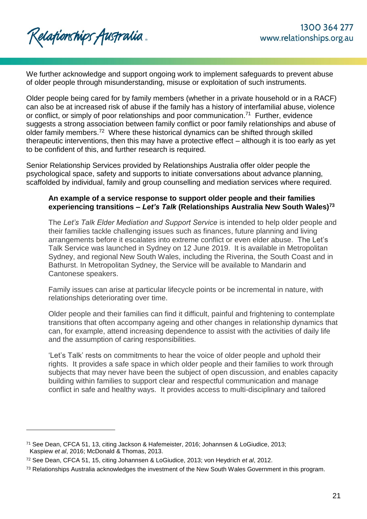We further acknowledge and support ongoing work to implement safeguards to prevent abuse of older people through misunderstanding, misuse or exploitation of such instruments.

Older people being cared for by family members (whether in a private household or in a RACF) can also be at increased risk of abuse if the family has a history of interfamilial abuse, violence or conflict, or simply of poor relationships and poor communication.<sup>71</sup> Further, evidence suggests a strong association between family conflict or poor family relationships and abuse of older family members.<sup>72</sup> Where these historical dynamics can be shifted through skilled therapeutic interventions, then this may have a protective effect – although it is too early as yet to be confident of this, and further research is required.

Senior Relationship Services provided by Relationships Australia offer older people the psychological space, safety and supports to initiate conversations about advance planning, scaffolded by individual, family and group counselling and mediation services where required.

## **An example of a service response to support older people and their families experiencing transitions –** *Let's Talk* **(Relationships Australia New South Wales)<sup>73</sup>**

The *Let's Talk Elder Mediation and Support Service* is intended to help older people and their families tackle challenging issues such as finances, future planning and living arrangements before it escalates into extreme conflict or even elder abuse. The Let's Talk Service was launched in Sydney on 12 June 2019. It is available in Metropolitan Sydney, and regional New South Wales, including the Riverina, the South Coast and in Bathurst. In Metropolitan Sydney, the Service will be available to Mandarin and Cantonese speakers.

Family issues can arise at particular lifecycle points or be incremental in nature, with relationships deteriorating over time.

Older people and their families can find it difficult, painful and frightening to contemplate transitions that often accompany ageing and other changes in relationship dynamics that can, for example, attend increasing dependence to assist with the activities of daily life and the assumption of caring responsibilities.

'Let's Talk' rests on commitments to hear the voice of older people and uphold their rights. It provides a safe space in which older people and their families to work through subjects that may never have been the subject of open discussion, and enables capacity building within families to support clear and respectful communication and manage conflict in safe and healthy ways. It provides access to multi-disciplinary and tailored

<sup>71</sup> See Dean, CFCA 51, 13, citing Jackson & Hafemeister, 2016; Johannsen & LoGiudice, 2013; Kaspiew *et al*, 2016; McDonald & Thomas, 2013.

<sup>72</sup> See Dean, CFCA 51, 15, citing Johannsen & LoGiudice, 2013; von Heydrich *et al*, 2012.

<sup>&</sup>lt;sup>73</sup> Relationships Australia acknowledges the investment of the New South Wales Government in this program.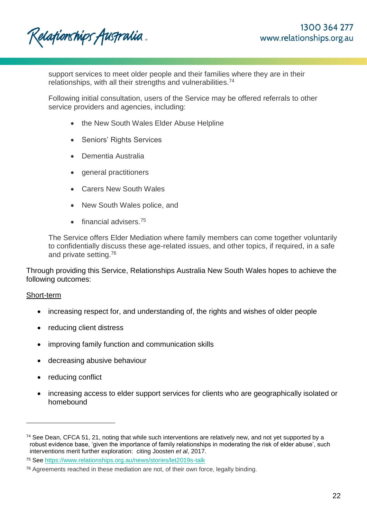Relafionships Australia.

support services to meet older people and their families where they are in their relationships, with all their strengths and vulnerabilities.<sup>74</sup>

Following initial consultation, users of the Service may be offered referrals to other service providers and agencies, including:

- the New South Wales Elder Abuse Helpline
- Seniors' Rights Services
- Dementia Australia
- general practitioners
- Carers New South Wales
- New South Wales police, and
- financial advisers.<sup>75</sup>

The Service offers Elder Mediation where family members can come together voluntarily to confidentially discuss these age-related issues, and other topics, if required, in a safe and private setting.<sup>76</sup>

Through providing this Service, Relationships Australia New South Wales hopes to achieve the following outcomes:

#### Short-term

- increasing respect for, and understanding of, the rights and wishes of older people
- reducing client distress
- improving family function and communication skills
- decreasing abusive behaviour
- reducing conflict
- increasing access to elder support services for clients who are geographically isolated or homebound

<sup>74</sup> See Dean, CFCA 51, 21, noting that while such interventions are relatively new, and not yet supported by a robust evidence base, 'given the importance of family relationships in moderating the risk of elder abuse', such interventions merit further exploration: citing Joosten *et al*, 2017.

<sup>75</sup> See<https://www.relationships.org.au/news/stories/let2019s-talk>

 $76$  Agreements reached in these mediation are not, of their own force, legally binding.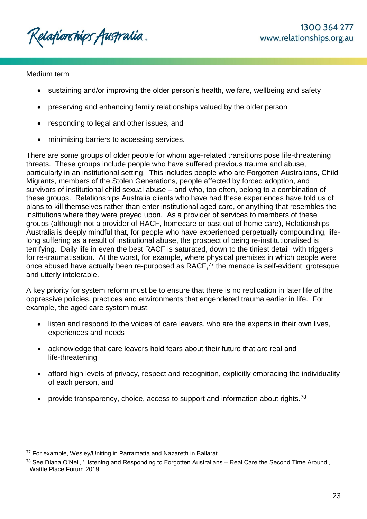Relafionships Australia.

## Medium term

l

- sustaining and/or improving the older person's health, welfare, wellbeing and safety
- preserving and enhancing family relationships valued by the older person
- responding to legal and other issues, and
- minimising barriers to accessing services.

There are some groups of older people for whom age-related transitions pose life-threatening threats. These groups include people who have suffered previous trauma and abuse, particularly in an institutional setting. This includes people who are Forgotten Australians, Child Migrants, members of the Stolen Generations, people affected by forced adoption, and survivors of institutional child sexual abuse – and who, too often, belong to a combination of these groups. Relationships Australia clients who have had these experiences have told us of plans to kill themselves rather than enter institutional aged care, or anything that resembles the institutions where they were preyed upon. As a provider of services to members of these groups (although not a provider of RACF, homecare or past out of home care), Relationships Australia is deeply mindful that, for people who have experienced perpetually compounding, lifelong suffering as a result of institutional abuse, the prospect of being re-institutionalised is terrifying. Daily life in even the best RACF is saturated, down to the tiniest detail, with triggers for re-traumatisation. At the worst, for example, where physical premises in which people were once abused have actually been re-purposed as RACF,<sup>77</sup> the menace is self-evident, grotesque and utterly intolerable.

A key priority for system reform must be to ensure that there is no replication in later life of the oppressive policies, practices and environments that engendered trauma earlier in life. For example, the aged care system must:

- listen and respond to the voices of care leavers, who are the experts in their own lives, experiences and needs
- acknowledge that care leavers hold fears about their future that are real and life-threatening
- afford high levels of privacy, respect and recognition, explicitly embracing the individuality of each person, and
- provide transparency, choice, access to support and information about rights.<sup>78</sup>

<sup>77</sup> For example, Wesley/Uniting in Parramatta and Nazareth in Ballarat.

<sup>78</sup> See Diana O'Neil, 'Listening and Responding to Forgotten Australians – Real Care the Second Time Around', Wattle Place Forum 2019.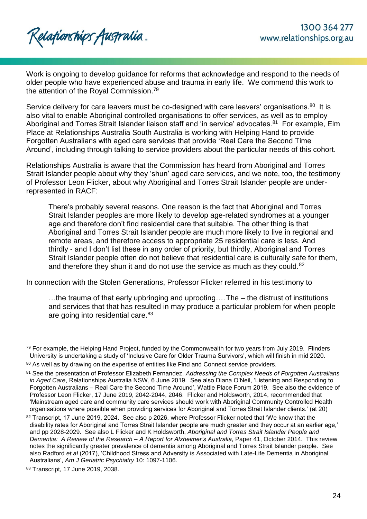

Work is ongoing to develop guidance for reforms that acknowledge and respond to the needs of older people who have experienced abuse and trauma in early life. We commend this work to the attention of the Royal Commission.<sup>79</sup>

Service delivery for care leavers must be co-designed with care leavers' organisations.<sup>80</sup> It is also vital to enable Aboriginal controlled organisations to offer services, as well as to employ Aboriginal and Torres Strait Islander liaison staff and 'in service' advocates.<sup>81</sup> For example, Elm Place at Relationships Australia South Australia is working with Helping Hand to provide Forgotten Australians with aged care services that provide 'Real Care the Second Time Around', including through talking to service providers about the particular needs of this cohort.

Relationships Australia is aware that the Commission has heard from Aboriginal and Torres Strait Islander people about why they 'shun' aged care services, and we note, too, the testimony of Professor Leon Flicker, about why Aboriginal and Torres Strait Islander people are underrepresented in RACF:

There's probably several reasons. One reason is the fact that Aboriginal and Torres Strait Islander peoples are more likely to develop age-related syndromes at a younger age and therefore don't find residential care that suitable. The other thing is that Aboriginal and Torres Strait Islander people are much more likely to live in regional and remote areas, and therefore access to appropriate 25 residential care is less. And thirdly - and I don't list these in any order of priority, but thirdly, Aboriginal and Torres Strait Islander people often do not believe that residential care is culturally safe for them, and therefore they shun it and do not use the service as much as they could.<sup>82</sup>

In connection with the Stolen Generations, Professor Flicker referred in his testimony to

…the trauma of that early upbringing and uprooting….The – the distrust of institutions and services that that has resulted in may produce a particular problem for when people are going into residential care.<sup>83</sup>

 $79$  For example, the Helping Hand Project, funded by the Commonwealth for two years from July 2019. Flinders University is undertaking a study of 'Inclusive Care for Older Trauma Survivors', which will finish in mid 2020.

<sup>80</sup> As well as by drawing on the expertise of entities like Find and Connect service providers.

<sup>81</sup> See the presentation of Professor Elizabeth Fernandez, *Addressing the Complex Needs of Forgotten Australians in Aged Care*, Relationships Australia NSW, 6 June 2019. See also Diana O'Neil, 'Listening and Responding to Forgotten Australians – Real Care the Second Time Around', Wattle Place Forum 2019. See also the evidence of Professor Leon Flicker, 17 June 2019, 2042-2044, 2046. Flicker and Holdsworth, 2014, recommended that 'Mainstream aged care and community care services should work with Aboriginal Community Controlled Health organisations where possible when providing services for Aboriginal and Torres Strait Islander clients.' (at 20)

<sup>82</sup> Transcript, 17 June 2019, 2024. See also p 2026, where Professor Flicker noted that 'We know that the disability rates for Aboriginal and Torres Strait Islander people are much greater and they occur at an earlier age,' and pp 2028-2029. See also L Flicker and K Holdsworth, *Aboriginal and Torres Strait Islander People and Dementia: A Review of the Research – A Report for Alzheimer's Australia*, Paper 41, October 2014. This review notes the significantly greater prevalence of dementia among Aboriginal and Torres Strait Islander people. See also Radford *et al* (2017), 'Childhood Stress and Adversity is Associated with Late-Life Dementia in Aboriginal Australians', *Am J Geriatric Psychiatry* 10: 1097-1106.

<sup>83</sup> Transcript, 17 June 2019, 2038.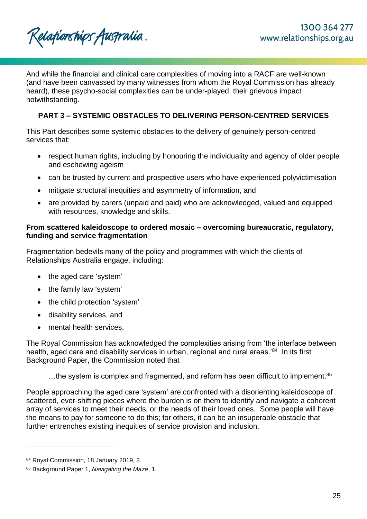

And while the financial and clinical care complexities of moving into a RACF are well-known (and have been canvassed by many witnesses from whom the Royal Commission has already heard), these psycho-social complexities can be under-played, their grievous impact notwithstanding.

# **PART 3 – SYSTEMIC OBSTACLES TO DELIVERING PERSON-CENTRED SERVICES**

This Part describes some systemic obstacles to the delivery of genuinely person-centred services that:

- respect human rights, including by honouring the individuality and agency of older people and eschewing ageism
- can be trusted by current and prospective users who have experienced polyvictimisation
- mitigate structural inequities and asymmetry of information, and
- are provided by carers (unpaid and paid) who are acknowledged, valued and equipped with resources, knowledge and skills.

## **From scattered kaleidoscope to ordered mosaic – overcoming bureaucratic, regulatory, funding and service fragmentation**

Fragmentation bedevils many of the policy and programmes with which the clients of Relationships Australia engage, including:

- the aged care 'system'
- the family law 'system'
- the child protection 'system'
- disability services, and
- mental health services.

The Royal Commission has acknowledged the complexities arising from 'the interface between health, aged care and disability services in urban, regional and rural areas.'<sup>84</sup> In its first Background Paper, the Commission noted that

...the system is complex and fragmented, and reform has been difficult to implement.<sup>85</sup>

People approaching the aged care 'system' are confronted with a disorienting kaleidoscope of scattered, ever-shifting pieces where the burden is on them to identify and navigate a coherent array of services to meet their needs, or the needs of their loved ones. Some people will have the means to pay for someone to do this; for others, it can be an insuperable obstacle that further entrenches existing inequities of service provision and inclusion.

<sup>84</sup> Royal Commission, 18 January 2019, 2.

<sup>85</sup> Background Paper 1, *Navigating the Maze*, 1.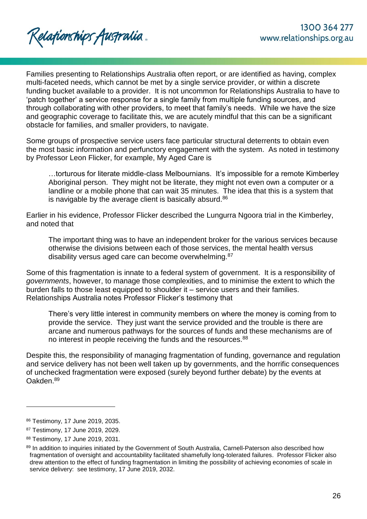Families presenting to Relationships Australia often report, or are identified as having, complex multi-faceted needs, which cannot be met by a single service provider, or within a discrete funding bucket available to a provider. It is not uncommon for Relationships Australia to have to 'patch together' a service response for a single family from multiple funding sources, and through collaborating with other providers, to meet that family's needs. While we have the size and geographic coverage to facilitate this, we are acutely mindful that this can be a significant obstacle for families, and smaller providers, to navigate.

Some groups of prospective service users face particular structural deterrents to obtain even the most basic information and perfunctory engagement with the system. As noted in testimony by Professor Leon Flicker, for example, My Aged Care is

…torturous for literate middle-class Melbournians. It's impossible for a remote Kimberley Aboriginal person. They might not be literate, they might not even own a computer or a landline or a mobile phone that can wait 35 minutes. The idea that this is a system that is navigable by the average client is basically absurd.<sup>86</sup>

Earlier in his evidence, Professor Flicker described the Lungurra Ngoora trial in the Kimberley, and noted that

The important thing was to have an independent broker for the various services because otherwise the divisions between each of those services, the mental health versus disability versus aged care can become overwhelming.<sup>87</sup>

Some of this fragmentation is innate to a federal system of government. It is a responsibility of *governments*, however, to manage those complexities, and to minimise the extent to which the burden falls to those least equipped to shoulder it – service users and their families. Relationships Australia notes Professor Flicker's testimony that

There's very little interest in community members on where the money is coming from to provide the service. They just want the service provided and the trouble is there are arcane and numerous pathways for the sources of funds and these mechanisms are of no interest in people receiving the funds and the resources.<sup>88</sup>

Despite this, the responsibility of managing fragmentation of funding, governance and regulation and service delivery has not been well taken up by governments, and the horrific consequences of unchecked fragmentation were exposed (surely beyond further debate) by the events at Oakden.<sup>89</sup>

<sup>86</sup> Testimony, 17 June 2019, 2035.

<sup>87</sup> Testimony, 17 June 2019, 2029.

<sup>88</sup> Testimony, 17 June 2019, 2031.

<sup>89</sup> In addition to inquiries initiated by the Government of South Australia, Carnell-Paterson also described how fragmentation of oversight and accountability facilitated shamefully long-tolerated failures. Professor Flicker also drew attention to the effect of funding fragmentation in limiting the possibility of achieving economies of scale in service delivery: see testimony, 17 June 2019, 2032.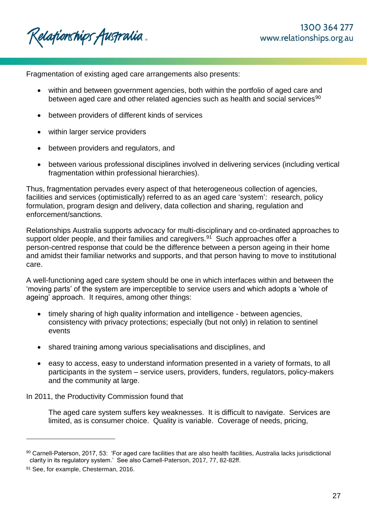Relafionships Australia .

Fragmentation of existing aged care arrangements also presents:

- within and between government agencies, both within the portfolio of aged care and between aged care and other related agencies such as health and social services<sup>90</sup>
- between providers of different kinds of services
- within larger service providers
- between providers and regulators, and
- between various professional disciplines involved in delivering services (including vertical fragmentation within professional hierarchies).

Thus, fragmentation pervades every aspect of that heterogeneous collection of agencies, facilities and services (optimistically) referred to as an aged care 'system': research, policy formulation, program design and delivery, data collection and sharing, regulation and enforcement/sanctions.

Relationships Australia supports advocacy for multi-disciplinary and co-ordinated approaches to support older people, and their families and caregivers.<sup>91</sup> Such approaches offer a person-centred response that could be the difference between a person ageing in their home and amidst their familiar networks and supports, and that person having to move to institutional care.

A well-functioning aged care system should be one in which interfaces within and between the 'moving parts' of the system are imperceptible to service users and which adopts a 'whole of ageing' approach. It requires, among other things:

- timely sharing of high quality information and intelligence between agencies, consistency with privacy protections; especially (but not only) in relation to sentinel events
- shared training among various specialisations and disciplines, and
- easy to access, easy to understand information presented in a variety of formats, to all participants in the system – service users, providers, funders, regulators, policy-makers and the community at large.

In 2011, the Productivity Commission found that

The aged care system suffers key weaknesses. It is difficult to navigate. Services are limited, as is consumer choice. Quality is variable. Coverage of needs, pricing,

<sup>90</sup> Carnell-Paterson, 2017, 53: 'For aged care facilities that are also health facilities, Australia lacks jurisdictional clarity in its regulatory system.' See also Carnell-Paterson, 2017, 77, 82-82ff.

<sup>91</sup> See, for example, Chesterman, 2016.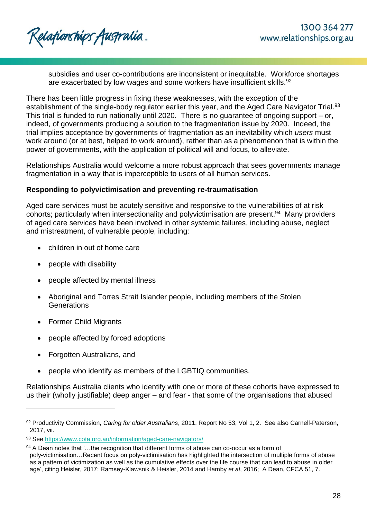subsidies and user co-contributions are inconsistent or inequitable. Workforce shortages are exacerbated by low wages and some workers have insufficient skills.<sup>92</sup>

There has been little progress in fixing these weaknesses, with the exception of the establishment of the single-body regulator earlier this year, and the Aged Care Navigator Trial.<sup>93</sup> This trial is funded to run nationally until 2020. There is no guarantee of ongoing support – or, indeed, of governments producing a solution to the fragmentation issue by 2020. Indeed, the trial implies acceptance by governments of fragmentation as an inevitability which *users* must work around (or at best, helped to work around), rather than as a phenomenon that is within the power of governments, with the application of political will and focus, to alleviate.

Relationships Australia would welcome a more robust approach that sees governments manage fragmentation in a way that is imperceptible to users of all human services.

## **Responding to polyvictimisation and preventing re-traumatisation**

Aged care services must be acutely sensitive and responsive to the vulnerabilities of at risk cohorts; particularly when intersectionality and polyvictimisation are present. 94 Many providers of aged care services have been involved in other systemic failures, including abuse, neglect and mistreatment, of vulnerable people, including:

- children in out of home care
- people with disability
- people affected by mental illness
- Aboriginal and Torres Strait Islander people, including members of the Stolen **Generations**
- Former Child Migrants
- people affected by forced adoptions
- Forgotten Australians, and

l

people who identify as members of the LGBTIQ communities.

Relationships Australia clients who identify with one or more of these cohorts have expressed to us their (wholly justifiable) deep anger – and fear - that some of the organisations that abused

<sup>92</sup> Productivity Commission, *Caring for older Australians*, 2011, Report No 53, Vol 1, 2. See also Carnell-Paterson, 2017, vii.

<sup>93</sup> See<https://www.cota.org.au/information/aged-care-navigators/>

<sup>94</sup> A Dean notes that '...the recognition that different forms of abuse can co-occur as a form of poly-victimisation…Recent focus on poly-victimisation has highlighted the intersection of multiple forms of abuse as a pattern of victimization as well as the cumulative effects over the life course that can lead to abuse in older age', citing Heisler, 2017; Ramsey-Klawsnik & Heisler, 2014 and Hamby *et al*, 2016; A Dean, CFCA 51, 7.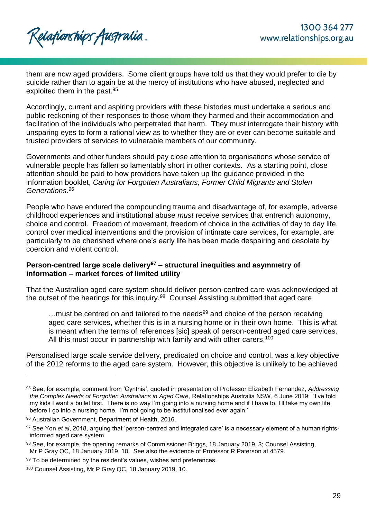

them are now aged providers. Some client groups have told us that they would prefer to die by suicide rather than to again be at the mercy of institutions who have abused, neglected and exploited them in the past.<sup>95</sup>

Accordingly, current and aspiring providers with these histories must undertake a serious and public reckoning of their responses to those whom they harmed and their accommodation and facilitation of the individuals who perpetrated that harm. They must interrogate their history with unsparing eyes to form a rational view as to whether they are or ever can become suitable and trusted providers of services to vulnerable members of our community.

Governments and other funders should pay close attention to organisations whose service of vulnerable people has fallen so lamentably short in other contexts. As a starting point, close attention should be paid to how providers have taken up the guidance provided in the information booklet, *Caring for Forgotten Australians, Former Child Migrants and Stolen Generations*. 96

People who have endured the compounding trauma and disadvantage of, for example, adverse childhood experiences and institutional abuse *must* receive services that entrench autonomy, choice and control. Freedom of movement, freedom of choice in the activities of day to day life, control over medical interventions and the provision of intimate care services, for example, are particularly to be cherished where one's early life has been made despairing and desolate by coercion and violent control.

## **Person-centred large scale delivery<sup>97</sup> – structural inequities and asymmetry of information – market forces of limited utility**

That the Australian aged care system should deliver person-centred care was acknowledged at the outset of the hearings for this inquiry.<sup>98</sup> Counsel Assisting submitted that aged care

 $\dots$  must be centred on and tailored to the needs<sup>99</sup> and choice of the person receiving aged care services, whether this is in a nursing home or in their own home. This is what is meant when the terms of references [sic] speak of person-centred aged care services. All this must occur in partnership with family and with other carers.<sup>100</sup>

Personalised large scale service delivery, predicated on choice and control, was a key objective of the 2012 reforms to the aged care system. However, this objective is unlikely to be achieved

<sup>95</sup> See, for example, comment from 'Cynthia', quoted in presentation of Professor Elizabeth Fernandez, *Addressing the Complex Needs of Forgotten Australians in Aged Care*, Relationships Australia NSW, 6 June 2019: 'I've told my kids I want a bullet first. There is no way I'm going into a nursing home and if I have to, I'll take my own life before I go into a nursing home. I'm not going to be institutionalised ever again.'

<sup>96</sup> Australian Government, Department of Health, 2016.

<sup>97</sup> See Yon *et al*, 2018, arguing that 'person-centred and integrated care' is a necessary element of a human rightsinformed aged care system.

<sup>98</sup> See, for example, the opening remarks of Commissioner Briggs, 18 January 2019, 3; Counsel Assisting, Mr P Gray QC, 18 January 2019, 10. See also the evidence of Professor R Paterson at 4579.

<sup>99</sup> To be determined by the resident's values, wishes and preferences.

<sup>100</sup> Counsel Assisting, Mr P Gray QC, 18 January 2019, 10.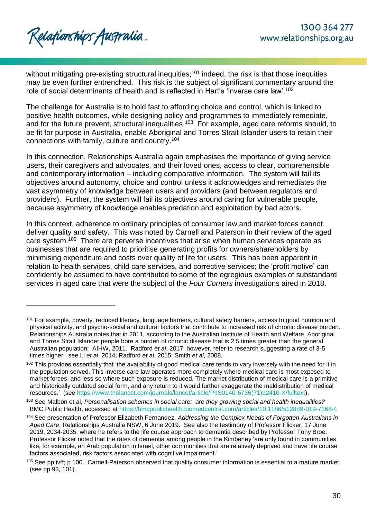$\overline{a}$ 

without mitigating pre-existing structural inequities;<sup>101</sup> indeed, the risk is that those inequities may be even further entrenched. This risk is the subject of significant commentary around the role of social determinants of health and is reflected in Hart's 'inverse care law'.<sup>102</sup>

The challenge for Australia is to hold fast to affording choice and control, which is linked to positive health outcomes, while designing policy and programmes to immediately remediate, and for the future prevent, structural inequalities.<sup>103</sup> For example, aged care reforms should, to be fit for purpose in Australia, enable Aboriginal and Torres Strait Islander users to retain their connections with family, culture and country. 104

In this connection, Relationships Australia again emphasises the importance of giving service users, their caregivers and advocates, and their loved ones, access to clear, comprehensible and contemporary information – including comparative information. The system will fail its objectives around autonomy, choice and control unless it acknowledges and remediates the vast asymmetry of knowledge between users and providers (and between regulators and providers). Further, the system will fail its objectives around caring for vulnerable people, because asymmetry of knowledge enables predation and exploitation by bad actors.

In this context, adherence to ordinary principles of consumer law and market forces cannot deliver quality and safety. This was noted by Carnell and Paterson in their review of the aged care system.<sup>105</sup> There are perverse incentives that arise when human services operate as businesses that are required to prioritise generating profits for owners/shareholders by minimising expenditure and costs over quality of life for users. This has been apparent in relation to health services, child care services, and corrective services; the 'profit motive' can confidently be assumed to have contributed to some of the egregious examples of substandard services in aged care that were the subject of the *Four Corners* investigations aired in 2018.

<sup>&</sup>lt;sup>101</sup> For example, poverty, reduced literacy, language barriers, cultural safety barriers, access to good nutrition and physical activity, and psycho-social and cultural factors that contribute to increased risk of chronic disease burden. Relationships Australia notes that in 2011, according to the Australian Institute of Health and Welfare, Aboriginal and Torres Strait Islander people bore a burden of chronic disease that is 2.5 times greater than the general Australian population: AIHW, 2011. Radford *et al*, 2017, however, refer to research suggesting a rate of 3-5 times higher: see Li *et al*, 2014; Radford *et al*, 2015; Smith *et al*, 2008.

<sup>&</sup>lt;sup>102</sup> This provides essentially that 'the availability of good medical care tends to vary inversely with the need for it in the population served. This inverse care law operates more completely where medical care is most exposed to market forces, and less so where such exposure is reduced. The market distribution of medical care is a primitive and historically outdated social form, and any return to it would further exaggerate the maldistribution of medical resources.' (see [https://www.thelancet.com/journals/lancet/article/PIIS0140-6736\(71\)92410-X/fulltext\)](https://www.thelancet.com/journals/lancet/article/PIIS0140-6736(71)92410-X/fulltext).

<sup>103</sup> See Malbon et al, *Personalisation schemes in social care: are they growing social and health inequalities?* BMC Public Health, accessed at<https://bmcpublichealth.biomedcentral.com/articles/10.1186/s12889-019-7168-4>

<sup>104</sup> See presentation of Professor Elizabeth Fernandez, *Addressing the Complex Needs of Forgotten Australians in Aged Care*, Relationships Australia NSW, 6 June 2019. See also the testimony of Professor Flicker, 17 June 2019, 2034-2035, where he refers to the life course approach to dementia described by Professor Tony Broe. Professor Flicker noted that the rates of dementia among people in the Kimberley 'are only found in communities like, for example, an Arab population in Israel, other communities that are relatively deprived and have life course factors associated, risk factors associated with cognitive impairment.'

<sup>105</sup> See pp ivff; p 100. Carnell-Paterson observed that quality consumer information is essential to a mature market (see pp 93, 101).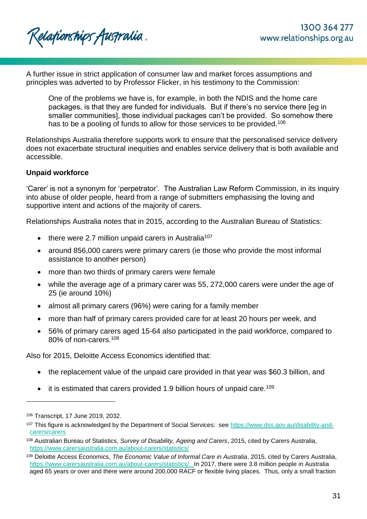A further issue in strict application of consumer law and market forces assumptions and principles was adverted to by Professor Flicker, in his testimony to the Commission:

One of the problems we have is, for example, in both the NDIS and the home care packages, is that they are funded for individuals. But if there's no service there [eg in smaller communities], those individual packages can't be provided. So somehow there has to be a pooling of funds to allow for those services to be provided.<sup>106</sup>

Relationships Australia therefore supports work to ensure that the personalised service delivery does not exacerbate structural inequities and enables service delivery that is both available and accessible.

## **Unpaid workforce**

'Carer' is not a synonym for 'perpetrator'. The Australian Law Reform Commission, in its inquiry into abuse of older people, heard from a range of submitters emphasising the loving and supportive intent and actions of the majority of carers.

Relationships Australia notes that in 2015, according to the Australian Bureau of Statistics:

- there were 2.7 million unpaid carers in Australia<sup>107</sup>
- around 856,000 carers were primary carers (ie those who provide the most informal assistance to another person)
- more than two thirds of primary carers were female
- while the average age of a primary carer was 55, 272,000 carers were under the age of 25 (ie around 10%)
- almost all primary carers (96%) were caring for a family member
- more than half of primary carers provided care for at least 20 hours per week, and
- 56% of primary carers aged 15-64 also participated in the paid workforce, compared to 80% of non-carers.<sup>108</sup>

Also for 2015, Deloitte Access Economics identified that:

- the replacement value of the unpaid care provided in that year was \$60.3 billion, and
- $\bullet$  it is estimated that carers provided 1.9 billion hours of unpaid care.<sup>109</sup>

<sup>106</sup> Transcript, 17 June 2019, 2032.

<sup>107</sup> This figure is acknowledged by the Department of Social Services: see [https://www.dss.gov.au/disability-and](https://www.dss.gov.au/disability-and-carers/carers)[carers/carers](https://www.dss.gov.au/disability-and-carers/carers)

<sup>108</sup> Australian Bureau of Statistics, *Survey of Disability, Ageing and Carers*, 2015, cited by Carers Australia, <https://www.carersaustralia.com.au/about-carers/statistics/>

<sup>109</sup> Deloitte Access Economics, *The Economic Value of Informal Care in Australia*, 2015, cited by Carers Australia, [https://www.carersaustralia.com.au/about-carers/statistics/.](https://www.carersaustralia.com.au/about-carers/statistics/) In 2017, there were 3.8 million people in Australia aged 65 years or over and there were around 200,000 RACF or flexible living places. Thus, only a small fraction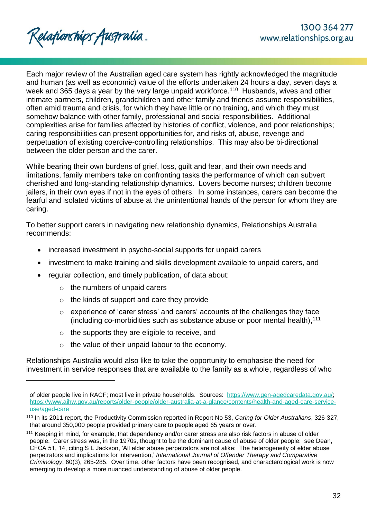Each major review of the Australian aged care system has rightly acknowledged the magnitude and human (as well as economic) value of the efforts undertaken 24 hours a day, seven days a week and 365 days a year by the very large unpaid workforce.<sup>110</sup> Husbands, wives and other intimate partners, children, grandchildren and other family and friends assume responsibilities, often amid trauma and crisis, for which they have little or no training, and which they must somehow balance with other family, professional and social responsibilities. Additional complexities arise for families affected by histories of conflict, violence, and poor relationships; caring responsibilities can present opportunities for, and risks of, abuse, revenge and perpetuation of existing coercive-controlling relationships. This may also be bi-directional between the older person and the carer.

While bearing their own burdens of grief, loss, guilt and fear, and their own needs and limitations, family members take on confronting tasks the performance of which can subvert cherished and long-standing relationship dynamics. Lovers become nurses; children become jailers, in their own eyes if not in the eyes of others. In some instances, carers can become the fearful and isolated victims of abuse at the unintentional hands of the person for whom they are caring.

To better support carers in navigating new relationship dynamics, Relationships Australia recommends:

- increased investment in psycho-social supports for unpaid carers
- investment to make training and skills development available to unpaid carers, and
- regular collection, and timely publication, of data about:
	- o the numbers of unpaid carers

l

- o the kinds of support and care they provide
- o experience of 'carer stress' and carers' accounts of the challenges they face (including co-morbidities such as substance abuse or poor mental health), 111
- o the supports they are eligible to receive, and
- o the value of their unpaid labour to the economy.

Relationships Australia would also like to take the opportunity to emphasise the need for investment in service responses that are available to the family as a whole, regardless of who

of older people live in RACF; most live in private households. Sources: [https://www.gen-agedcaredata.gov.au/;](https://www.gen-agedcaredata.gov.au/) [https://www.aihw.gov.au/reports/older-people/older-australia-at-a-glance/contents/health-and-aged-care-service](https://www.aihw.gov.au/reports/older-people/older-australia-at-a-glance/contents/health-and-aged-care-service-use/aged-care)[use/aged-care](https://www.aihw.gov.au/reports/older-people/older-australia-at-a-glance/contents/health-and-aged-care-service-use/aged-care)

<sup>110</sup> In its 2011 report, the Productivity Commission reported in Report No 53, *Caring for Older Australians*, 326-327, that around 350,000 people provided primary care to people aged 65 years or over.

<sup>111</sup> Keeping in mind, for example, that dependency and/or carer stress are also risk factors in abuse of older people. Carer stress was, in the 1970s, thought to be the dominant cause of abuse of older people: see Dean, CFCA 51, 14, citing S L Jackson, 'All elder abuse perpetrators are not alike: The heterogeneity of elder abuse perpetrators and implications for intervention,' *International Journal of Offender Therapy and Comparative Criminology*, 60(3), 265-285. Over time, other factors have been recognised, and characterological work is now emerging to develop a more nuanced understanding of abuse of older people.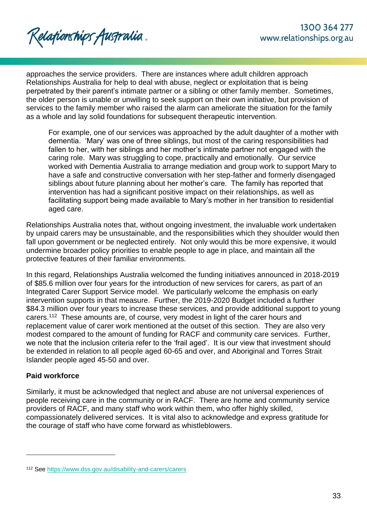Relationships Australia.

approaches the service providers. There are instances where adult children approach Relationships Australia for help to deal with abuse, neglect or exploitation that is being perpetrated by their parent's intimate partner or a sibling or other family member. Sometimes, the older person is unable or unwilling to seek support on their own initiative, but provision of services to the family member who raised the alarm can ameliorate the situation for the family as a whole and lay solid foundations for subsequent therapeutic intervention.

For example, one of our services was approached by the adult daughter of a mother with dementia. 'Mary' was one of three siblings, but most of the caring responsibilities had fallen to her, with her siblings and her mother's intimate partner not engaged with the caring role. Mary was struggling to cope, practically and emotionally. Our service worked with Dementia Australia to arrange mediation and group work to support Mary to have a safe and constructive conversation with her step-father and formerly disengaged siblings about future planning about her mother's care. The family has reported that intervention has had a significant positive impact on their relationships, as well as facilitating support being made available to Mary's mother in her transition to residential aged care.

Relationships Australia notes that, without ongoing investment, the invaluable work undertaken by unpaid carers may be unsustainable, and the responsibilities which they shoulder would then fall upon government or be neglected entirely. Not only would this be more expensive, it would undermine broader policy priorities to enable people to age in place, and maintain all the protective features of their familiar environments.

In this regard, Relationships Australia welcomed the funding initiatives announced in 2018-2019 of \$85.6 million over four years for the introduction of new services for carers, as part of an Integrated Carer Support Service model. We particularly welcome the emphasis on early intervention supports in that measure. Further, the 2019-2020 Budget included a further \$84.3 million over four years to increase these services, and provide additional support to young carers.<sup>112</sup> These amounts are, of course, very modest in light of the carer hours and replacement value of carer work mentioned at the outset of this section. They are also very modest compared to the amount of funding for RACF and community care services. Further, we note that the inclusion criteria refer to the 'frail aged'. It is our view that investment should be extended in relation to all people aged 60-65 and over, and Aboriginal and Torres Strait Islander people aged 45-50 and over.

## **Paid workforce**

l

Similarly, it must be acknowledged that neglect and abuse are not universal experiences of people receiving care in the community or in RACF. There are home and community service providers of RACF, and many staff who work within them, who offer highly skilled, compassionately delivered services. It is vital also to acknowledge and express gratitude for the courage of staff who have come forward as whistleblowers.

<sup>112</sup> See<https://www.dss.gov.au/disability-and-carers/carers>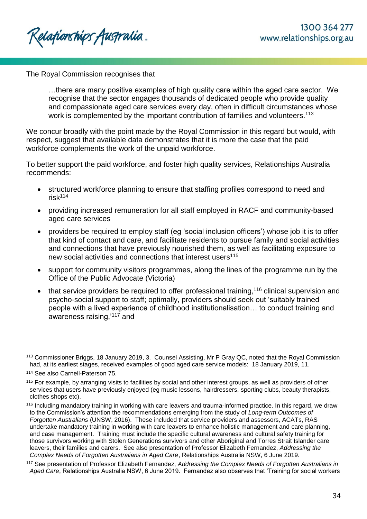The Royal Commission recognises that

…there are many positive examples of high quality care within the aged care sector. We recognise that the sector engages thousands of dedicated people who provide quality and compassionate aged care services every day, often in difficult circumstances whose work is complemented by the important contribution of families and volunteers.<sup>113</sup>

We concur broadly with the point made by the Royal Commission in this regard but would, with respect, suggest that available data demonstrates that it is more the case that the paid workforce complements the work of the unpaid workforce.

To better support the paid workforce, and foster high quality services, Relationships Australia recommends:

- structured workforce planning to ensure that staffing profiles correspond to need and risk<sup>114</sup>
- providing increased remuneration for all staff employed in RACF and community-based aged care services
- providers be required to employ staff (eg 'social inclusion officers') whose job it is to offer that kind of contact and care, and facilitate residents to pursue family and social activities and connections that have previously nourished them, as well as facilitating exposure to new social activities and connections that interest users<sup>115</sup>
- support for community visitors programmes, along the lines of the programme run by the Office of the Public Advocate (Victoria)
- $\bullet$  that service providers be required to offer professional training,<sup>116</sup> clinical supervision and psycho-social support to staff; optimally, providers should seek out 'suitably trained people with a lived experience of childhood institutionalisation… to conduct training and awareness raising,'<sup>117</sup> and

<sup>113</sup> Commissioner Briggs, 18 January 2019, 3. Counsel Assisting, Mr P Gray QC, noted that the Royal Commission had, at its earliest stages, received examples of good aged care service models: 18 January 2019, 11.

<sup>114</sup> See also Carnell-Paterson 75.

<sup>&</sup>lt;sup>115</sup> For example, by arranging visits to facilities by social and other interest groups, as well as providers of other services that users have previously enjoyed (eg music lessons, hairdressers, sporting clubs, beauty therapists, clothes shops etc).

<sup>116</sup> Including mandatory training in working with care leavers and trauma-informed practice. In this regard, we draw to the Commission's attention the recommendations emerging from the study of *Long-term Outcomes of Forgotten Australians* (UNSW, 2016). These included that service providers and assessors, ACATs, RAS undertake mandatory training in working with care leavers to enhance holistic management and care planning, and case management. Training must include the specific cultural awareness and cultural safety training for those survivors working with Stolen Generations survivors and other Aboriginal and Torres Strait Islander care leavers, their families and carers. See also presentation of Professor Elizabeth Fernandez, *Addressing the Complex Needs of Forgotten Australians in Aged Care*, Relationships Australia NSW, 6 June 2019.

<sup>117</sup> See presentation of Professor Elizabeth Fernandez, *Addressing the Complex Needs of Forgotten Australians in Aged Care*, Relationships Australia NSW, 6 June 2019. Fernandez also observes that 'Training for social workers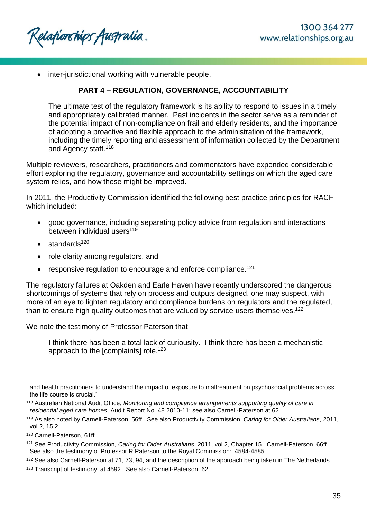Relafionships Australia .

• inter-jurisdictional working with vulnerable people.

## **PART 4 – REGULATION, GOVERNANCE, ACCOUNTABILITY**

The ultimate test of the regulatory framework is its ability to respond to issues in a timely and appropriately calibrated manner. Past incidents in the sector serve as a reminder of the potential impact of non-compliance on frail and elderly residents, and the importance of adopting a proactive and flexible approach to the administration of the framework, including the timely reporting and assessment of information collected by the Department and Agency staff.<sup>118</sup>

Multiple reviewers, researchers, practitioners and commentators have expended considerable effort exploring the regulatory, governance and accountability settings on which the aged care system relies, and how these might be improved.

In 2011, the Productivity Commission identified the following best practice principles for RACF which included:

- good governance, including separating policy advice from regulation and interactions between individual users<sup>119</sup>
- standards<sup>120</sup>
- role clarity among regulators, and
- responsive regulation to encourage and enforce compliance.<sup>121</sup>

The regulatory failures at Oakden and Earle Haven have recently underscored the dangerous shortcomings of systems that rely on process and outputs designed, one may suspect, with more of an eye to lighten regulatory and compliance burdens on regulators and the regulated, than to ensure high quality outcomes that are valued by service users themselves.<sup>122</sup>

We note the testimony of Professor Paterson that

I think there has been a total lack of curiousity. I think there has been a mechanistic approach to the  $[complaints]$  role.<sup>123</sup>

l

<sup>122</sup> See also Carnell-Paterson at 71, 73, 94, and the description of the approach being taken in The Netherlands.

and health practitioners to understand the impact of exposure to maltreatment on psychosocial problems across the life course is crucial.'

<sup>118</sup> Australian National Audit Office, *Monitoring and compliance arrangements supporting quality of care in residential aged care homes*, Audit Report No. 48 2010-11; see also Carnell-Paterson at 62.

<sup>119</sup> As also noted by Carnell-Paterson, 56ff. See also Productivity Commission, *Caring for Older Australians*, 2011, vol 2, 15.2.

<sup>120</sup> Carnell-Paterson, 61ff.

<sup>121</sup> See Productivity Commission, *Caring for Older Australians*, 2011, vol 2, Chapter 15. Carnell-Paterson, 66ff. See also the testimony of Professor R Paterson to the Royal Commission: 4584-4585.

<sup>123</sup> Transcript of testimony, at 4592. See also Carnell-Paterson, 62.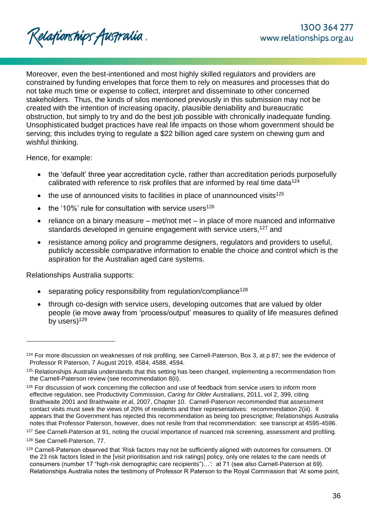Moreover, even the best-intentioned and most highly skilled regulators and providers are constrained by funding envelopes that force them to rely on measures and processes that do not take much time or expense to collect, interpret and disseminate to other concerned stakeholders. Thus, the kinds of silos mentioned previously in this submission may not be created with the intention of increasing opacity, plausible deniability and bureaucratic obstruction, but simply to try and do the best job possible with chronically inadequate funding. Unsophisticated budget practices have real life impacts on those whom government should be serving; this includes trying to regulate a \$22 billion aged care system on chewing gum and wishful thinking.

Hence, for example:

- the 'default' three year accreditation cycle, rather than accreditation periods purposefully calibrated with reference to risk profiles that are informed by real time data<sup>124</sup>
- $\bullet$  the use of announced visits to facilities in place of unannounced visits<sup>125</sup>
- the '10%' rule for consultation with service users<sup>126</sup>
- reliance on a binary measure met/not met in place of more nuanced and informative standards developed in genuine engagement with service users,<sup>127</sup> and
- resistance among policy and programme designers, regulators and providers to useful, publicly accessible comparative information to enable the choice and control which is the aspiration for the Australian aged care systems.

Relationships Australia supports:

- separating policy responsibility from regulation/compliance<sup>128</sup>
- through co-design with service users, developing outcomes that are valued by older people (ie move away from 'process/output' measures to quality of life measures defined by users)<sup>129</sup>

<sup>&</sup>lt;sup>124</sup> For more discussion on weaknesses of risk profiling, see Carnell-Paterson, Box 3, at p 87; see the evidence of Professor R Paterson, 7 August 2019, 4584, 4588, 4594.

<sup>125</sup> Relationships Australia understands that this setting has been changed, implementing a recommendation from the Carnell-Paterson review (see recommendation 8(ii).

<sup>126</sup> For discussion of work concerning the collection and use of feedback from service users to inform more effective regulation, see Productivity Commission, *Caring for Older Australians*, 2011, vol 2, 399, citing Braithwaite 2001 and Braithwaite *et a*l, 2007, Chapter 10. Carnell-Paterson recommended that assessment contact visits must seek the views of 20% of residents and their representatives: recommendation 2(iii). It appears that the Government has rejected this recommendation as being too prescriptive; Relationships Australia notes that Professor Paterson, however, does not resile from that recommendation: see transcript at 4595-4596.

<sup>&</sup>lt;sup>127</sup> See Carnell-Paterson at 91, noting the crucial importance of nuanced risk screening, assessment and profiling.

<sup>128</sup> See Carnell-Paterson, 77.

<sup>129</sup> Carnell-Paterson observed that 'Risk factors may not be sufficiently aligned with outcomes for consumers. Of the 23 risk factors listed in the [visit prioritisation and risk ratings] policy, only one relates to the care needs of consumers (number 17 "high-risk demographic care recipients")…': at 71 (see also Carnell-Paterson at 69). Relationships Australia notes the testimony of Professor R Paterson to the Royal Commission that 'At some point,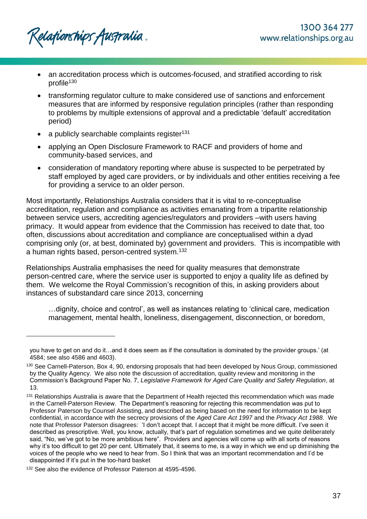- an accreditation process which is outcomes-focused, and stratified according to risk profile<sup>130</sup>
- transforming regulator culture to make considered use of sanctions and enforcement measures that are informed by responsive regulation principles (rather than responding to problems by multiple extensions of approval and a predictable 'default' accreditation period)
- a publicly searchable complaints register<sup>131</sup>
- applying an Open Disclosure Framework to RACF and providers of home and community-based services, and
- consideration of mandatory reporting where abuse is suspected to be perpetrated by staff employed by aged care providers, or by individuals and other entities receiving a fee for providing a service to an older person.

Most importantly, Relationships Australia considers that it is vital to re-conceptualise accreditation, regulation and compliance as activities emanating from a tripartite relationship between service users, accrediting agencies/regulators and providers –with users having primacy. It would appear from evidence that the Commission has received to date that, too often, discussions about accreditation and compliance are conceptualised within a dyad comprising only (or, at best, dominated by) government and providers. This is incompatible with a human rights based, person-centred system.<sup>132</sup>

Relationships Australia emphasises the need for quality measures that demonstrate person-centred care, where the service user is supported to enjoy a quality life as defined by them. We welcome the Royal Commission's recognition of this, in asking providers about instances of substandard care since 2013, concerning

…dignity, choice and control', as well as instances relating to 'clinical care, medication management, mental health, loneliness, disengagement, disconnection, or boredom,

you have to get on and do it…and it does seem as if the consultation is dominated by the provider groups.' (at 4584; see also 4586 and 4603).

<sup>130</sup> See Carnell-Paterson, Box 4, 90, endorsing proposals that had been developed by Nous Group, commissioned by the Quality Agency. We also note the discussion of accreditation, quality review and monitoring in the Commission's Background Paper No. 7, *Legislative Framework for Aged Care Quality and Safety Regulation*, at 13.

<sup>&</sup>lt;sup>131</sup> Relationships Australia is aware that the Department of Health rejected this recommendation which was made in the Carnell-Paterson Review. The Department's reasoning for rejecting this recommendation was put to Professor Paterson by Counsel Assisting, and described as being based on the need for information to be kept confidential, in accordance with the secrecy provisions of the *Aged Care Act 1997* and the *Privacy Act 1988*. We note that Professor Paterson disagrees: 'I don't accept that. I accept that it might be more difficult. I've seen it described as prescriptive. Well, you know, actually, that's part of regulation sometimes and we quite deliberately said, "No, we've got to be more ambitious here". Providers and agencies will come up with all sorts of reasons why it's too difficult to get 20 per cent. Ultimately that, it seems to me, is a way in which we end up diminishing the voices of the people who we need to hear from. So I think that was an important recommendation and I'd be disappointed if it's put in the too-hard basket

<sup>&</sup>lt;sup>132</sup> See also the evidence of Professor Paterson at 4595-4596.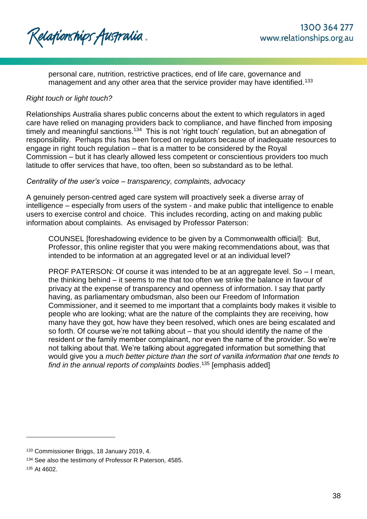Relationships Australia.

personal care, nutrition, restrictive practices, end of life care, governance and management and any other area that the service provider may have identified.<sup>133</sup>

### *Right touch or light touch?*

Relationships Australia shares public concerns about the extent to which regulators in aged care have relied on managing providers back to compliance, and have flinched from imposing timely and meaningful sanctions.<sup>134</sup> This is not 'right touch' regulation, but an abnegation of responsibility. Perhaps this has been forced on regulators because of inadequate resources to engage in right touch regulation – that is a matter to be considered by the Royal Commission – but it has clearly allowed less competent or conscientious providers too much latitude to offer services that have, too often, been so substandard as to be lethal.

#### *Centrality of the user's voice – transparency, complaints, advocacy*

A genuinely person-centred aged care system will proactively seek a diverse array of intelligence – especially from users of the system - and make public that intelligence to enable users to exercise control and choice. This includes recording, acting on and making public information about complaints. As envisaged by Professor Paterson:

COUNSEL [foreshadowing evidence to be given by a Commonwealth official]: But, Professor, this online register that you were making recommendations about, was that intended to be information at an aggregated level or at an individual level?

PROF PATERSON: Of course it was intended to be at an aggregate level. So – I mean, the thinking behind – it seems to me that too often we strike the balance in favour of privacy at the expense of transparency and openness of information. I say that partly having, as parliamentary ombudsman, also been our Freedom of Information Commissioner, and it seemed to me important that a complaints body makes it visible to people who are looking; what are the nature of the complaints they are receiving, how many have they got, how have they been resolved, which ones are being escalated and so forth. Of course we're not talking about – that you should identify the name of the resident or the family member complainant, nor even the name of the provider. So we're not talking about that. We're talking about aggregated information but something that would give you a *much better picture than the sort of vanilla information that one tends to find in the annual reports of complaints bodies*. <sup>135</sup> [emphasis added]

<sup>133</sup> Commissioner Briggs, 18 January 2019, 4.

<sup>134</sup> See also the testimony of Professor R Paterson, 4585.

<sup>135</sup> At 4602.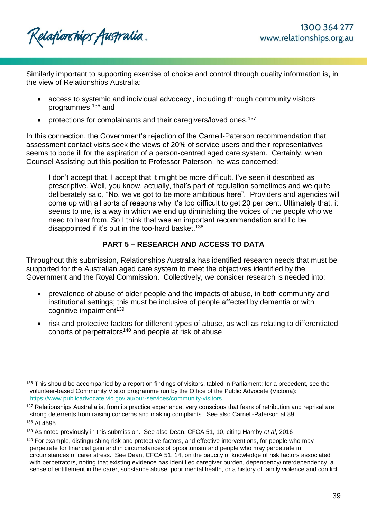Relafionships Australia .

l

Similarly important to supporting exercise of choice and control through quality information is, in the view of Relationships Australia:

- access to systemic and individual advocacy , including through community visitors programmes, <sup>136</sup> and
- protections for complainants and their caregivers/loved ones.<sup>137</sup>

In this connection, the Government's rejection of the Carnell-Paterson recommendation that assessment contact visits seek the views of 20% of service users and their representatives seems to bode ill for the aspiration of a person-centred aged care system. Certainly, when Counsel Assisting put this position to Professor Paterson, he was concerned:

I don't accept that. I accept that it might be more difficult. I've seen it described as prescriptive. Well, you know, actually, that's part of regulation sometimes and we quite deliberately said, "No, we've got to be more ambitious here". Providers and agencies will come up with all sorts of reasons why it's too difficult to get 20 per cent. Ultimately that, it seems to me, is a way in which we end up diminishing the voices of the people who we need to hear from. So I think that was an important recommendation and I'd be disappointed if it's put in the too-hard basket.<sup>138</sup>

# **PART 5 – RESEARCH AND ACCESS TO DATA**

Throughout this submission, Relationships Australia has identified research needs that must be supported for the Australian aged care system to meet the objectives identified by the Government and the Royal Commission. Collectively, we consider research is needed into:

- prevalence of abuse of older people and the impacts of abuse, in both community and institutional settings; this must be inclusive of people affected by dementia or with cognitive impairment $139$
- risk and protective factors for different types of abuse, as well as relating to differentiated cohorts of perpetrators<sup>140</sup> and people at risk of abuse

<sup>&</sup>lt;sup>136</sup> This should be accompanied by a report on findings of visitors, tabled in Parliament; for a precedent, see the volunteer-based Community Visitor programme run by the Office of the Public Advocate (Victoria): [https://www.publicadvocate.vic.gov.au/our-services/community-visitors.](https://www.publicadvocate.vic.gov.au/our-services/community-visitors)

<sup>&</sup>lt;sup>137</sup> Relationships Australia is, from its practice experience, very conscious that fears of retribution and reprisal are strong deterrents from raising concerns and making complaints. See also Carnell-Paterson at 89. <sup>138</sup> At 4595.

<sup>139</sup> As noted previously in this submission. See also Dean, CFCA 51, 10, citing Hamby *et al*, 2016

<sup>140</sup> For example, distinguishing risk and protective factors, and effective interventions, for people who may perpetrate for financial gain and in circumstances of opportunism and people who may perpetrate in circumstances of carer stress. See Dean, CFCA 51, 14, on the paucity of knowledge of risk factors associated with perpetrators, noting that existing evidence has identified caregiver burden, dependency/interdependency, a sense of entitlement in the carer, substance abuse, poor mental health, or a history of family violence and conflict.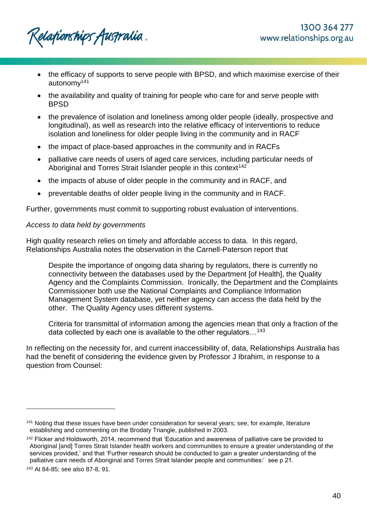Relafionships Australia .

- the efficacy of supports to serve people with BPSD, and which maximise exercise of their autonomy<sup>141</sup>
- the availability and quality of training for people who care for and serve people with BPSD
- the prevalence of isolation and loneliness among older people (ideally, prospective and longitudinal), as well as research into the relative efficacy of interventions to reduce isolation and loneliness for older people living in the community and in RACF
- the impact of place-based approaches in the community and in RACFs
- palliative care needs of users of aged care services, including particular needs of Aboriginal and Torres Strait Islander people in this context<sup>142</sup>
- the impacts of abuse of older people in the community and in RACF, and
- preventable deaths of older people living in the community and in RACF.

Further, governments must commit to supporting robust evaluation of interventions.

## *Access to data held by governments*

High quality research relies on timely and affordable access to data. In this regard, Relationships Australia notes the observation in the Carnell-Paterson report that

Despite the importance of ongoing data sharing by regulators, there is currently no connectivity between the databases used by the Department [of Health], the Quality Agency and the Complaints Commission. Ironically, the Department and the Complaints Commissioner both use the National Complaints and Compliance Information Management System database, yet neither agency can access the data held by the other. The Quality Agency uses different systems.

Criteria for transmittal of information among the agencies mean that only a fraction of the data collected by each one is available to the other regulators…<sup>143</sup>

In reflecting on the necessity for, and current inaccessibility of, data, Relationships Australia has had the benefit of considering the evidence given by Professor J Ibrahim, in response to a question from Counsel:

<sup>141</sup> Noting that these issues have been under consideration for several years; see, for example, literature establishing and commenting on the Brodaty Triangle, published in 2003.

<sup>&</sup>lt;sup>142</sup> Flicker and Holdsworth, 2014, recommend that 'Education and awareness of palliative care be provided to Aboriginal [and] Torres Strait Islander health workers and communities to ensure a greater understanding of the services provided,' and that 'Further research should be conducted to gain a greater understanding of the palliative care needs of Aboriginal and Torres Strait Islander people and communities:' see p 21.

<sup>143</sup> At 84-85; see also 87-8, 91.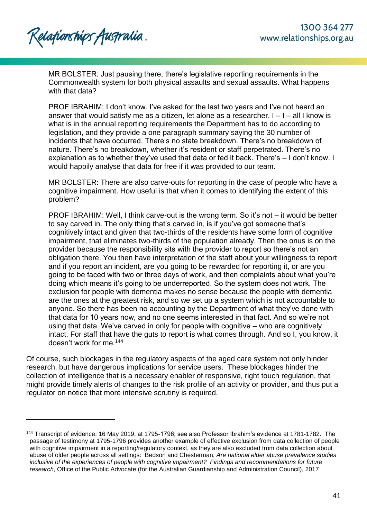Relationships Australia.

l

MR BOLSTER: Just pausing there, there's legislative reporting requirements in the Commonwealth system for both physical assaults and sexual assaults. What happens with that data?

PROF IBRAHIM: I don't know. I've asked for the last two years and I've not heard an answer that would satisfy me as a citizen, let alone as a researcher.  $I - I - all I$  know is what is in the annual reporting requirements the Department has to do according to legislation, and they provide a one paragraph summary saying the 30 number of incidents that have occurred. There's no state breakdown. There's no breakdown of nature. There's no breakdown, whether it's resident or staff perpetrated. There's no explanation as to whether they've used that data or fed it back. There's – I don't know. I would happily analyse that data for free if it was provided to our team.

MR BOLSTER: There are also carve-outs for reporting in the case of people who have a cognitive impairment. How useful is that when it comes to identifying the extent of this problem?

PROF IBRAHIM: Well, I think carve-out is the wrong term. So it's not – it would be better to say carved in. The only thing that's carved in, is if you've got someone that's cognitively intact and given that two-thirds of the residents have some form of cognitive impairment, that eliminates two-thirds of the population already. Then the onus is on the provider because the responsibility sits with the provider to report so there's not an obligation there. You then have interpretation of the staff about your willingness to report and if you report an incident, are you going to be rewarded for reporting it, or are you going to be faced with two or three days of work, and then complaints about what you're doing which means it's going to be underreported. So the system does not work. The exclusion for people with dementia makes no sense because the people with dementia are the ones at the greatest risk, and so we set up a system which is not accountable to anyone. So there has been no accounting by the Department of what they've done with that data for 10 years now, and no one seems interested in that fact. And so we're not using that data. We've carved in only for people with cognitive – who are cognitively intact. For staff that have the guts to report is what comes through. And so I, you know, it doesn't work for me.<sup>144</sup>

Of course, such blockages in the regulatory aspects of the aged care system not only hinder research, but have dangerous implications for service users. These blockages hinder the collection of intelligence that is a necessary enabler of responsive, right touch regulation, that might provide timely alerts of changes to the risk profile of an activity or provider, and thus put a regulator on notice that more intensive scrutiny is required.

<sup>144</sup> Transcript of evidence, 16 May 2019, at 1795-1796; see also Professor Ibrahim's evidence at 1781-1782. The passage of testimony at 1795-1796 provides another example of effective exclusion from data collection of people with cognitive impairment in a reporting/regulatory context, as they are also excluded from data collection about abuse of older people across all settings: Bedson and Chesterman, *Are national elder abuse prevalence studies inclusive of the experiences of people with cognitive impairment? Findings and recommendations for future research*, Office of the Public Advocate (for the Australian Guardianship and Administration Council), 2017.